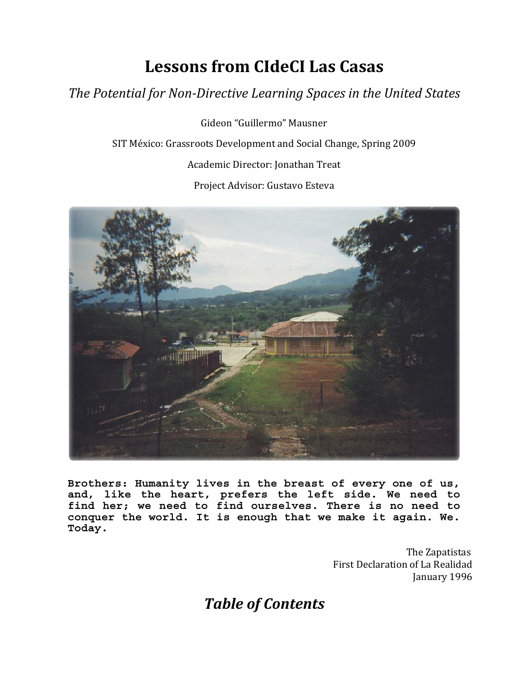# **Lessons from CIdeCI Las Casas**

# *The Potential for NonDirective Learning Spaces in the United States*

Gideon "Guillermo" Mausner SIT México: Grassroots Development and Social Change, Spring 2009 Academic Director: Jonathan Treat Project Advisor: Gustavo Esteva



**Brothers: Humanity lives in the breast of every one of us, and, like the heart, prefers the left side. We need to find her; we need to find ourselves. There is no need to conquer the world. It is enough that we make it again. We. Today.** 

> First Declarati on of La Realidad The Zapatistas January 1996

*Table of Contents*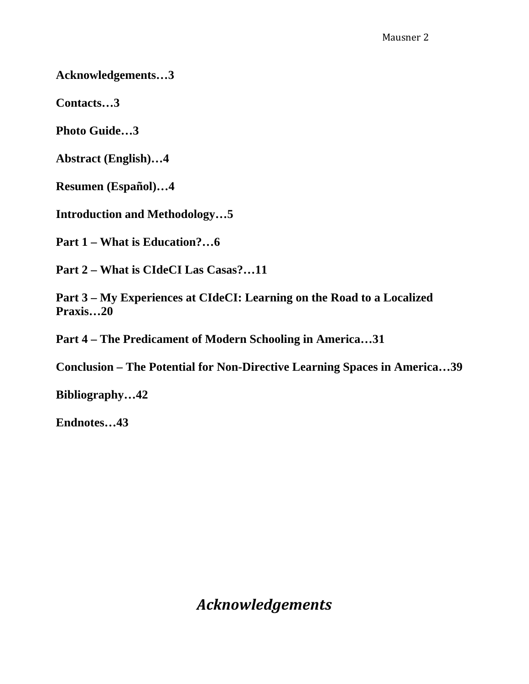**Acknowledgements…3** 

**Contacts…3** 

**Photo Guide…3** 

**Abstract (English)…4** 

**Resumen (Español)…4** 

**Introduction and Methodology…5** 

**Part 1 – What is Education?…6** 

**Part 2 – What is CIdeCI Las Casas?…11** 

**Part 3 – My Experiences at CIdeCI: Learning on the Road to a Localized Praxis…20** 

**Part 4 – The Predicament of Modern Schooling in America…31** 

**Conclusion – The Potential for Non-Directive Learning Spaces in America…39** 

**Bibliography…42** 

**Endnotes…43** 

*Acknowledgements*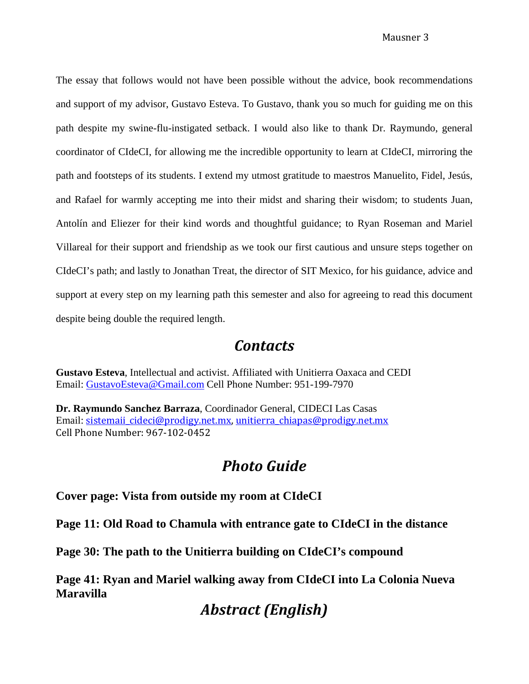The essay that follows would not have been possible without the advice, book recommendations and support of my advisor, Gustavo Esteva. To Gustavo, thank you so much for guiding me on this path despite my swine-flu-instigated setback. I would also like to thank Dr. Raymundo, general coordinator of CIdeCI, for allowing me the incredible opportunity to learn at CIdeCI, mirroring the path and footsteps of its students. I extend my utmost gratitude to maestros Manuelito, Fidel, Jesús, and Rafael for warmly accepting me into their midst and sharing their wisdom; to students Juan, Antolín and Eliezer for their kind words and thoughtful guidance; to Ryan Roseman and Mariel Villareal for their support and friendship as we took our first cautious and unsure steps together on CIdeCI's path; and lastly to Jonathan Treat, the director of SIT Mexico, for his guidance, advice and support at every step on my learning path this semester and also for agreeing to read this document despite being double the required length.

# *Contacts*

**Gustavo Esteva**, Intellectual and activist. Affiliated with Unitierra Oaxaca and CEDI Email: [GustavoEsteva@Gmail.com](mailto:GustavoEsteva@Gmail.com) Cell Phone Number: 951-199-7970

**Dr. Raymundo Sanchez Barraza**, C oord[in](mailto:sistemaii_cideci@prodigy.net.mx)ador General, CIDECI Las Casas Email: sistemaii cideci@prodigy.net.mx, unitierra chiapas@prodigy.net.mx Cell Phone Number: 967‐102‐0452

# *Photo Guide*

**Cover page: Vista from outside my room at CIdeCI** 

**Page 11: Old Road to Chamula with entrance gate to CIdeCI in the distance** 

**Page 30: The path to the Unitierra building on CIdeCI's compound** 

**Page 41: Ryan and Mariel walking away from CIdeCI into La Colonia Nueva Maravilla** 

# *Abstract (English)*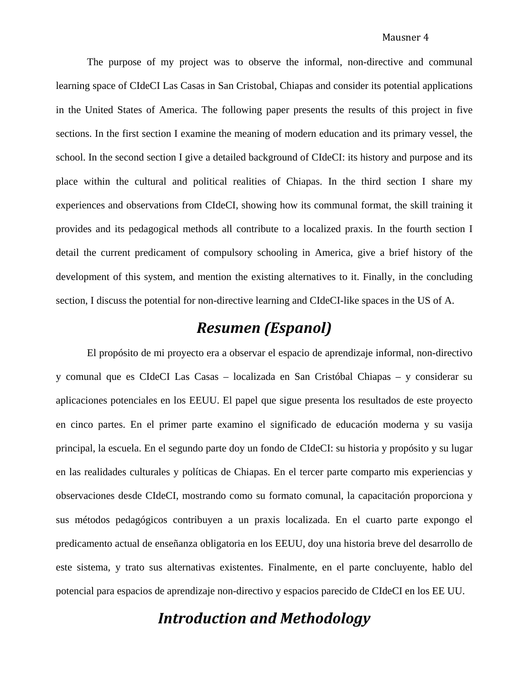The purpose of my project was to observe the informal, non-directive and communal learning space of CIdeCI Las Casas in San Cristobal, Chiapas and consider its potential applications in the United States of America. The following paper presents the results of this project in five sections. In the first section I examine the meaning of modern education and its primary vessel, the school. In the second section I give a detailed background of CIdeCI: its history and purpose and its place within the cultural and political realities of Chiapas. In the third section I share my experiences and observations from CIdeCI, showing how its communal format, the skill training it provides and its pedagogical methods all contribute to a localized praxis. In the fourth section I detail the current predicament of compulsory schooling in America, give a brief history of the development of this system, and mention the existing alternatives to it. Finally, in the concluding section, I discuss the potential for non-directive learning and CIdeCI-like spaces in the US of A.

# *Resumen (Espanol)*

El propósito de mi proyecto era a observar el espacio de aprendizaje informal, non-directivo y comunal que es CIdeCI Las Casas – localizada en San Cristóbal Chiapas – y considerar su aplicaciones potenciales en los EEUU. El papel que sigue presenta los resultados de este proyecto en cinco partes. En el primer parte examino el significado de educación moderna y su vasija principal, la escuela. En el segundo parte doy un fondo de CIdeCI: su historia y propósito y su lugar en las realidades culturales y políticas de Chiapas. En el tercer parte comparto mis experiencias y observaciones desde CIdeCI, mostrando como su formato comunal, la capacitación proporciona y sus métodos pedagógicos contribuyen a un praxis localizada. En el cuarto parte expongo el predicamento actual de enseñanza obligatoria en los EEUU, doy una historia breve del desarrollo de este sistema, y trato sus alternativas existentes. Finalmente, en el parte concluyente, hablo del potencial para espacios de aprendizaje non-directivo y espacios parecido de CIdeCI en los EE UU.

# *Introduction and Methodology*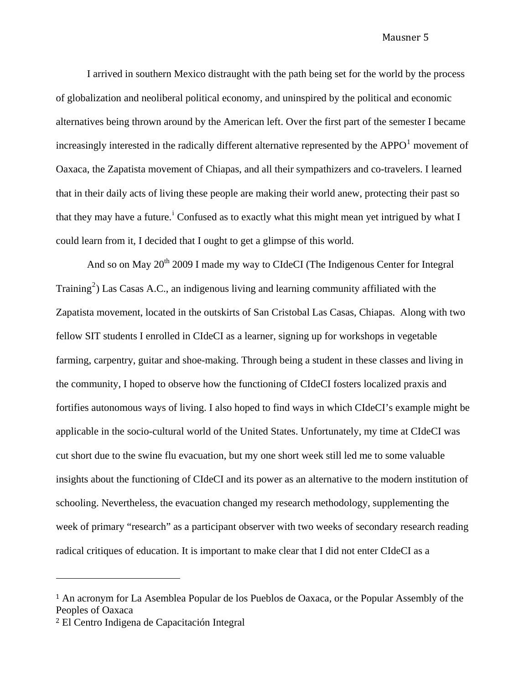I arrived in southern Mexico distraught with the path being set for the world by the process of globalization and neoliberal political economy, and uninspired by the political and economic alternatives being thrown around by the American left. Over the first part of the semester I became increasingly interested in the radically different alternative represented by the APPO $<sup>1</sup>$  $<sup>1</sup>$  $<sup>1</sup>$  movement of</sup> Oaxaca, the Zapatista movement of Chiapas, and all their sympathizers and co-travelers. I learned that in their daily acts of living these people are making their world anew, protecting their past so that they may have a future.<sup>[i](#page-43-0)</sup> Confused as to exactly what this might mean yet intrigued by what I could learn from it, I decided that I ought to get a glimpse of this world.

radical critiques of education. It is important to make clear that I did not enter CIdeCI as a And so on May  $20^{th}$  2009 I made my way to CIdeCI (The Indigenous Center for Integral Training<sup>[2](#page-4-1)</sup>) Las Casas A.C., an indigenous living and learning community affiliated with the Zapatista movement, located in the outskirts of San Cristobal Las Casas, Chiapas. Along with two fellow SIT students I enrolled in CIdeCI as a learner, signing up for workshops in vegetable farming, carpentry, guitar and shoe-making. Through being a student in these classes and living in the community, I hoped to observe how the functioning of CIdeCI fosters localized praxis and fortifies autonomous ways of living. I also hoped to find ways in which CIdeCI's example might be applicable in the socio-cultural world of the United States. Unfortunately, my time at CIdeCI was cut short due to the swine flu evacuation, but my one short week still led me to some valuable insights about the functioning of CIdeCI and its power as an alternative to the modern institution of schooling. Nevertheless, the evacuation changed my research methodology, supplementing the week of primary "research" as a participant observer with two weeks of secondary research reading

÷,

<span id="page-4-0"></span><sup>1</sup> An acronym for La Asemblea Popular de los Pueblos de Oaxaca, or the Popular Assembly of the Peoples of Oaxaca

<span id="page-4-1"></span><sup>2</sup> El Centro Indigena de Capacitación Integral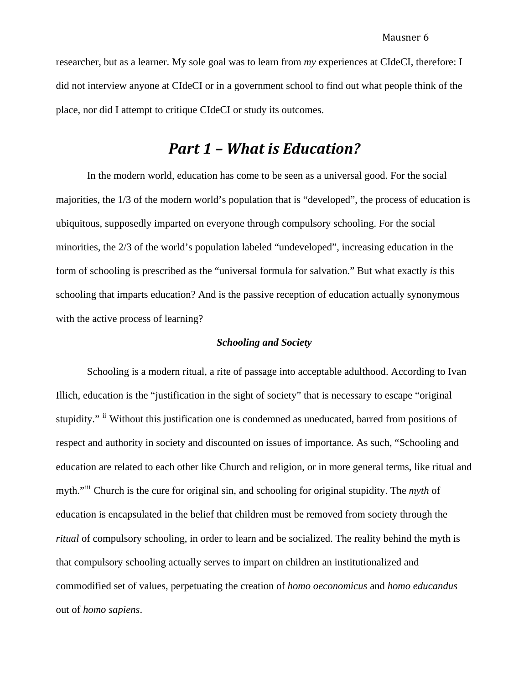researcher, but as a learner. My sole goal was to learn from *my* experiences at CIdeCI, therefore: I did not interview anyone at CIdeCI or in a government school to find out what people think of the place, nor did I attempt to critique CIdeCI or study its outcomes.

# *Part 1 – What is Education?*

 In the modern world, education has come to be seen as a universal good. For the social majorities, the 1/3 of the modern world's population that is "developed", the process of education is ubiquitous, supposedly imparted on everyone through compulsory schooling. For the social minorities, the 2/3 of the world's population labeled "undeveloped", increasing education in the form of schooling is prescribed as the "universal formula for salvation." But what exactly *is* this schooling that imparts education? And is the passive reception of education actually synonymous with the active process of learning?

## *Schooling and Society*

 Schooling is a modern ritual, a rite of passage into acceptable adulthood. According to Ivan Illich, education is the "justification in the sight of society" that is necessary to escape "original stupidity." <sup>[ii](#page-43-1)</sup> Without this justification one is condemned as uneducated, barred from positions of respect and authority in society and discounted on issues of importance. As such, "Schooling and education are related to each other like Church and religion, or in more general terms, like ritual and myth."<sup>[iii](#page-43-1)</sup> Church is the cure for original sin, and schooling for original stupidity. The *myth* of education is encapsulated in the belief that children must be removed from society through the *ritual* of compulsory schooling, in order to learn and be socialized. The reality behind the myth is that compulsory schooling actually serves to impart on children an institutionalized and commodified set of values, perpetuating the creation of *homo oeconomicus* and *homo educandus* out of *homo sapiens*.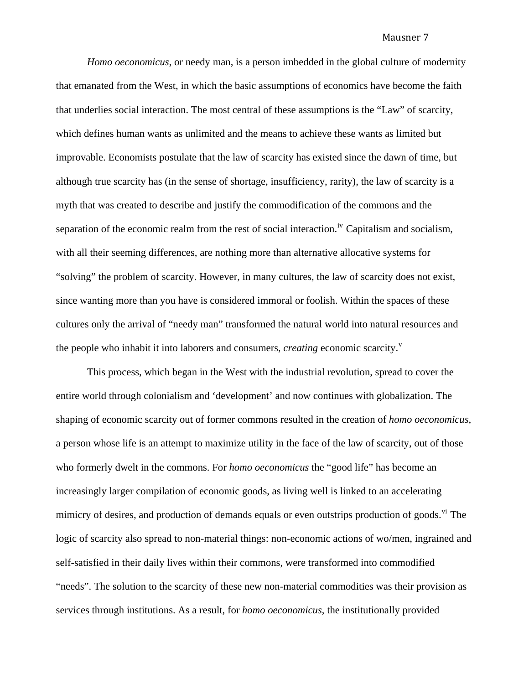*Homo oeconomicus*, or needy man, is a person imbedded in the global culture of modernity that emanated from the West, in which the basic assumptions of economics have become the faith that underlies social interaction. The most central of these assumptions is the "Law" of scarcity, which defines human wants as unlimited and the means to achieve these wants as limited but improvable. Economists postulate that the law of scarcity has existed since the dawn of time, but although true scarcity has (in the sense of shortage, insufficiency, rarity), the law of scarcity is a myth that was created to describe and justify the commodification of the commons and the separation of the economic realm from the rest of social interaction.<sup>[iv](#page-43-1)</sup> Capitalism and socialism, with all their seeming differences, are nothing more than alternative allocative systems for "solving" the problem of scarcity. However, in many cultures, the law of scarcity does not exist, since wanting more than you have is considered immoral or foolish. Within the spaces of these cultures only the arrival of "needy man" transformed the natural world into natural resources and the people who inhabit it into laborers and consumers, *creating* economic scarcity.<sup>[v](#page-43-1)</sup>

This process, which began in the West with the industrial revolution, spread to cover the entire world through colonialism and 'development' and now continues with globalization. The shaping of economic scarcity out of former commons resulted in the creation of *homo oeconomicus*, a person whose life is an attempt to maximize utility in the face of the law of scarcity, out of those who formerly dwelt in the commons. For *homo oeconomicus* the "good life" has become an increasingly larger compilation of economic goods, as living well is linked to an accelerating mimicry of desires, and production of demands equals or even outstrips production of goods.<sup>[vi](#page-43-1)</sup> The logic of scarcity also spread to non-material things: non-economic actions of wo/men, ingrained and self-satisfied in their daily lives within their commons, were transformed into commodified "needs". The solution to the scarcity of these new non-material commodities was their provision as services through institutions. As a result, for *homo oeconomicus*, the institutionally provided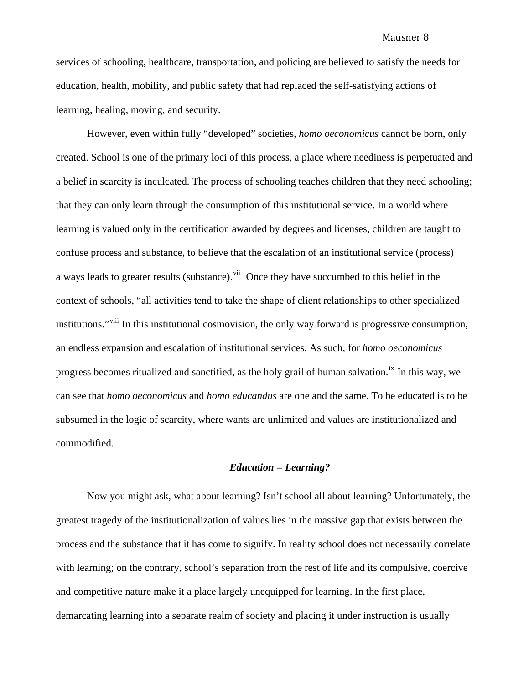services of schooling, healthcare, transportation, and policing are believed to satisfy the needs for education, health, mobility, and public safety that had replaced the self-satisfying actions of learning, healing, moving, and security.

However, even within fully "developed" societies, *homo oeconomicus* cannot be born, only created. School is one of the primary loci of this process, a place where neediness is perpetuated and a belief in scarcity is inculcated. The process of schooling teaches children that they need schooling; that they can only learn through the consumption of this institutional service. In a world where learning is valued only in the certification awarded by degrees and licenses, children are taught to confuse process and substance, to believe that the escalation of an institutional service (process) always leads to greater results (substance).<sup>[vii](#page-43-1)</sup> Once they have succumbed to this belief in the context of schools, "all activities tend to take the shape of client relationships to other specialized institutions."<sup>[viii](#page-43-1)</sup> In this institutional cosmovision, the only way forward is progressive consumption, an endless expansion and escalation of institutional services. As such, for *homo oeconomicus*  progress becomes ritualized and sanctified, as the holy grail of human salvation.<sup>[ix](#page-43-1)</sup> In this way, we can see that *homo oeconomicus* and *homo educandus* are one and the same. To be educated is to be subsumed in the logic of scarcity, where wants are unlimited and values are institutionalized and commodified.

## *Education = Learning?*

Now you might ask, what about learning? Isn't school all about learning? Unfortunately, the greatest tragedy of the institutionalization of values lies in the massive gap that exists between the process and the substance that it has come to signify. In reality school does not necessarily correlate with learning; on the contrary, school's separation from the rest of life and its compulsive, coercive and competitive nature make it a place largely unequipped for learning. In the first place, demarcating learning into a separate realm of society and placing it under instruction is usually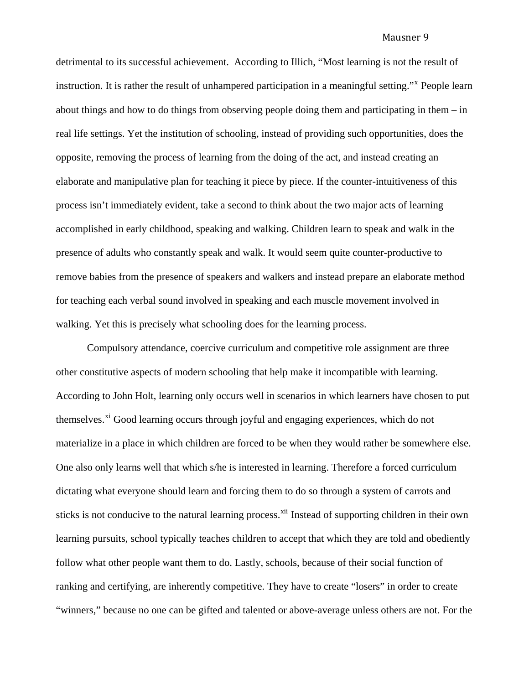detrimental to its successful achievement. According to Illich, "Most learning is not the result of instruction. It is rather the result of unhampered participation in a meaningful setting."<sup>[x](#page-43-1)</sup> People learn about things and how to do things from observing people doing them and participating in them – in real life settings. Yet the institution of schooling, instead of providing such opportunities, does the opposite, removing the process of learning from the doing of the act, and instead creating an elaborate and manipulative plan for teaching it piece by piece. If the counter-intuitiveness of this process isn't immediately evident, take a second to think about the two major acts of learning accomplished in early childhood, speaking and walking. Children learn to speak and walk in the presence of adults who constantly speak and walk. It would seem quite counter-productive to remove babies from the presence of speakers and walkers and instead prepare an elaborate method for teaching each verbal sound involved in speaking and each muscle movement involved in walking. Yet this is precisely what schooling does for the learning process.

Compulsory attendance, coercive curriculum and competitive role assignment are three other constitutive aspects of modern schooling that help make it incompatible with learning. According to John Holt, learning only occurs well in scenarios in which learners have chosen to put themselves.<sup>[xi](#page-43-1)</sup> Good learning occurs through joyful and engaging experiences, which do not materialize in a place in which children are forced to be when they would rather be somewhere else. One also only learns well that which s/he is interested in learning. Therefore a forced curriculum dictating what everyone should learn and forcing them to do so through a system of carrots and sticks is not conducive to the natural learning process.<sup>[xii](#page-43-1)</sup> Instead of supporting children in their own learning pursuits, school typically teaches children to accept that which they are told and obediently follow what other people want them to do. Lastly, schools, because of their social function of ranking and certifying, are inherently competitive. They have to create "losers" in order to create "winners," because no one can be gifted and talented or above-average unless others are not. For the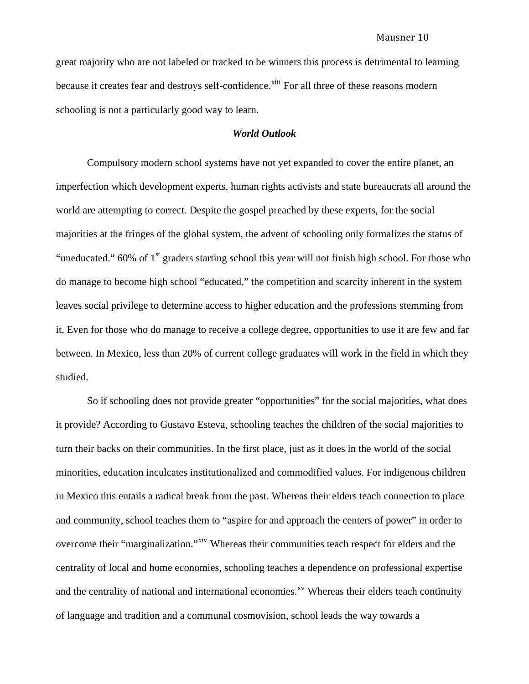great majority who are not labeled or tracked to be winners this process is detrimental to learning because it creates fear and destroys self-confidence.<sup>[xiii](#page-43-1)</sup> For all three of these reasons modern schooling is not a particularly good way to learn.

## *World Outlook*

Compulsory modern school systems have not yet expanded to cover the entire planet, an imperfection which development experts, human rights activists and state bureaucrats all around the world are attempting to correct. Despite the gospel preached by these experts, for the social majorities at the fringes of the global system, the advent of schooling only formalizes the status of "uneducated."  $60\%$  of 1<sup>st</sup> graders starting school this year will not finish high school. For those who do manage to become high school "educated," the competition and scarcity inherent in the system leaves social privilege to determine access to higher education and the professions stemming from it. Even for those who do manage to receive a college degree, opportunities to use it are few and far between. In Mexico, less than 20% of current college graduates will work in the field in which they studied.

So if schooling does not provide greater "opportunities" for the social majorities, what does it provide? According to Gustavo Esteva, schooling teaches the children of the social majorities to turn their backs on their communities. In the first place, just as it does in the world of the social minorities, education inculcates institutionalized and commodified values. For indigenous children in Mexico this entails a radical break from the past. Whereas their elders teach connection to place and community, school teaches them to "aspire for and approach the centers of power" in order to overcome their "marginalization."<sup>[xiv](#page-43-1)</sup> Whereas their communities teach respect for elders and the centrality of local and home economies, schooling teaches a dependence on professional expertise and the centrality of national and international economies.<sup> $x<sub>v</sub>$ </sup> Whereas their elders teach continuity of language and tradition and a communal cosmovision, school leads the way towards a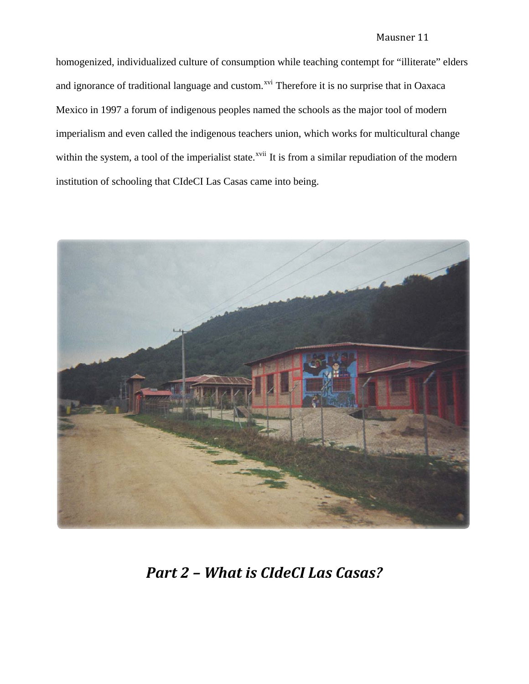homogenized, individualized culture of consumption while teaching contempt for "illiterate" elders and ignorance of traditional language and custom.<sup>[xvi](#page-43-1)</sup> Therefore it is no surprise that in Oaxaca Mexico in 1997 a forum of indigenous peoples named the schools as the major tool of modern imperialism and even called the indigenous teachers union, which works for multicultural change within the system, a tool of the imperialist state.<sup>[xvii](#page-43-1)</sup> It is from a similar repudiation of the modern institution of schooling that CIdeCI Las Casas came into being.



*Part 2 – What is CIdeCI Las Casas?*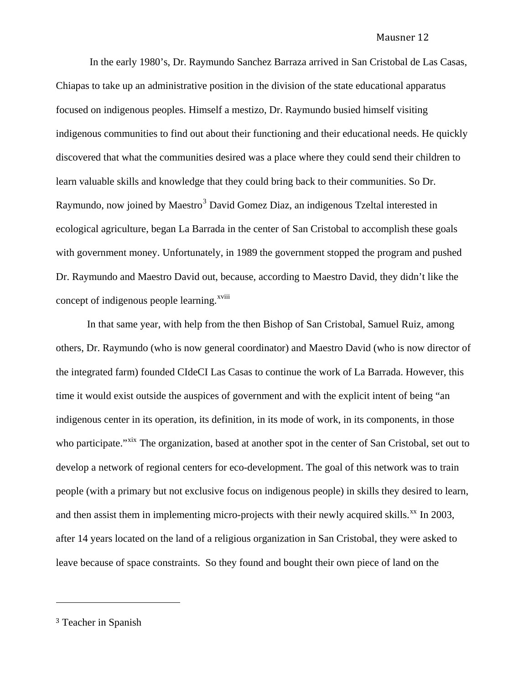In the early 1980's, Dr. Raymundo Sanchez Barraza arrived in San Cristobal de Las Casas, Chiapas to take up an administrative position in the division of the state educational apparatus focused on indigenous peoples. Himself a mestizo, Dr. Raymundo busied himself visiting indigenous communities to find out about their functioning and their educational needs. He quickly discovered that what the communities desired was a place where they could send their children to learn valuable skills and knowledge that they could bring back to their communities. So Dr. Raymundo, now joined by Maestro<sup>[3](#page-11-0)</sup> David Gomez Diaz, an indigenous Tzeltal interested in ecological agriculture, began La Barrada in the center of San Cristobal to accomplish these goals with government money. Unfortunately, in 1989 the government stopped the program and pushed Dr. Raymundo and Maestro David out, because, according to Maestro David, they didn't like the concept of indigenous people learning.<sup>[xviii](#page-43-1)</sup>

 In that same year, with help from the then Bishop of San Cristobal, Samuel Ruiz, among others, Dr. Raymundo (who is now general coordinator) and Maestro David (who is now director of the integrated farm) founded CIdeCI Las Casas to continue the work of La Barrada. However, this time it would exist outside the auspices of government and with the explicit intent of being "an indigenous center in its operation, its definition, in its mode of work, in its components, in those who participate."<sup>[xix](#page-43-1)</sup> The organization, based at another spot in the center of San Cristobal, set out to develop a network of regional centers for eco-development. The goal of this network was to train people (with a primary but not exclusive focus on indigenous people) in skills they desired to learn, and then assist them in implementing micro-projects with their newly acquired skills. $^{xx}$  $^{xx}$  $^{xx}$  In 2003, after 14 years located on the land of a religious organization in San Cristobal, they were asked to leave because of space constraints. So they found and bought their own piece of land on the

<span id="page-11-0"></span><sup>3</sup> Teacher in Spanish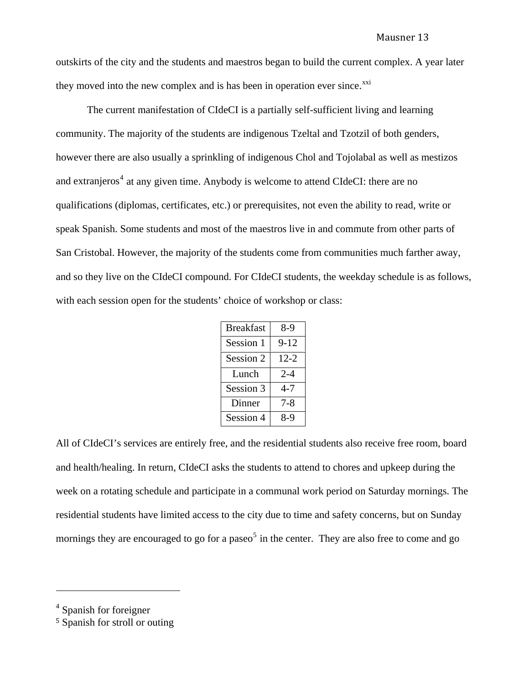outskirts of the city and the students and maestros began to build the current complex. A year later they moved into the new complex and is has been in operation ever since.<sup>[xxi](#page-43-1)</sup>

The current manifestation of CIdeCI is a partially self-sufficient living and learning community. The majority of the students are indigenous Tzeltal and Tzotzil of both genders, however there are also usually a sprinkling of indigenous Chol and Tojolabal as well as mestizos and extranjeros<sup>[4](#page-12-0)</sup> at any given time. Anybody is welcome to attend CIdeCI: there are no qualifications (diplomas, certificates, etc.) or prerequisites, not even the ability to read, write or speak Spanish. Some students and most of the maestros live in and commute from other parts of San Cristobal. However, the majority of the students come from communities much farther away, and so they live on the CIdeCI compound. For CIdeCI students, the weekday schedule is as follows, with each session open for the students' choice of workshop or class:

| <b>Breakfast</b> | $8-9$    |
|------------------|----------|
| Session 1        | $9 - 12$ |
| Session 2        | $12 - 2$ |
| Lunch            | $2 - 4$  |
| Session 3        | 4-7      |
| Dinner           | 7-8      |
| Session 4        | $8-9$    |

All of CIdeCI's services are entirely free, and the residential students also receive free room, board and health/healing. In return, CIdeCI asks the students to attend to chores and upkeep during the week on a rotating schedule and participate in a communal work period on Saturday mornings. The residential students have limited access to the city due to time and safety concerns, but on Sunday mornings they are encouraged to go for a paseo<sup>[5](#page-12-1)</sup> in the center. They are also free to come and go

<span id="page-12-0"></span><sup>4</sup> Spanish for foreigner

<span id="page-12-1"></span><sup>5</sup> Spanish for stroll or outing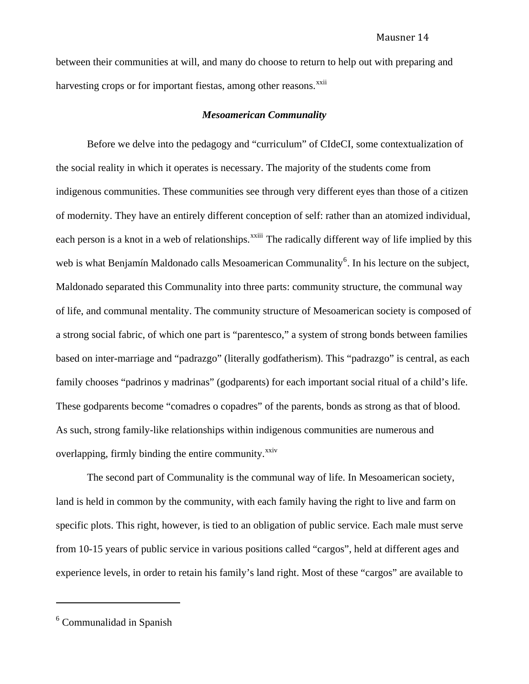between their communities at will, and many do choose to return to help out with preparing and harvesting crops or for important fiestas, among other reasons.<sup>[xxii](#page-43-1)</sup>

## *Mesoamerican Communality*

Before we delve into the pedagogy and "curriculum" of CIdeCI, some contextualization of the social reality in which it operates is necessary. The majority of the students come from indigenous communities. These communities see through very different eyes than those of a citizen of modernity. They have an entirely different conception of self: rather than an atomized individual, each person is a knot in a web of relationships.<sup>[xxiii](#page-43-1)</sup> The radically different way of life implied by this web is what Benjamín Maldonado calls Mesoamerican Communality<sup>[6](#page-13-0)</sup>. In his lecture on the subject, Maldonado separated this Communality into three parts: community structure, the communal way of life, and communal mentality. The community structure of Mesoamerican society is composed of a strong social fabric, of which one part is "parentesco," a system of strong bonds between families based on inter-marriage and "padrazgo" (literally godfatherism). This "padrazgo" is central, as each family chooses "padrinos y madrinas" (godparents) for each important social ritual of a child's life. These godparents become "comadres o copadres" of the parents, bonds as strong as that of blood. As such, strong family-like relationships within indigenous communities are numerous and overlapping, firmly binding the entire community. $^{xxiv}$  $^{xxiv}$  $^{xxiv}$ 

The second part of Communality is the communal way of life. In Mesoamerican society, land is held in common by the community, with each family having the right to live and farm on specific plots. This right, however, is tied to an obligation of public service. Each male must serve from 10-15 years of public service in various positions called "cargos", held at different ages and experience levels, in order to retain his family's land right. Most of these "cargos" are available to

<span id="page-13-0"></span><sup>6</sup> Communalidad in Spanish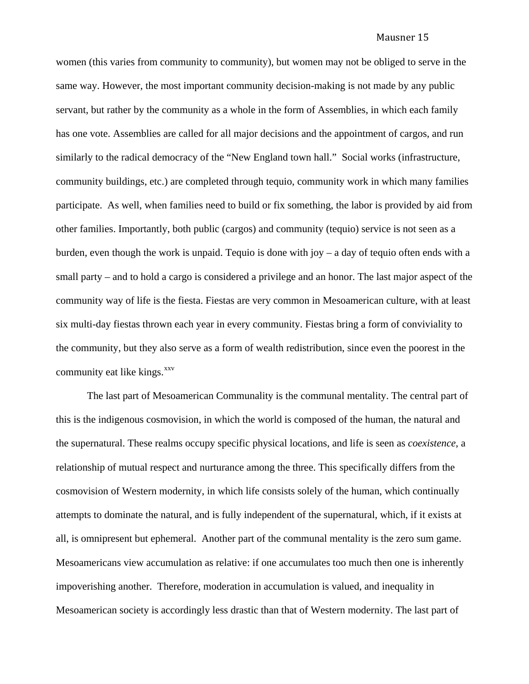women (this varies from community to community), but women may not be obliged to serve in the same way. However, the most important community decision-making is not made by any public servant, but rather by the community as a whole in the form of Assemblies, in which each family has one vote. Assemblies are called for all major decisions and the appointment of cargos, and run similarly to the radical democracy of the "New England town hall." Social works (infrastructure, community buildings, etc.) are completed through tequio, community work in which many families participate. As well, when families need to build or fix something, the labor is provided by aid from other families. Importantly, both public (cargos) and community (tequio) service is not seen as a burden, even though the work is unpaid. Tequio is done with joy – a day of tequio often ends with a small party – and to hold a cargo is considered a privilege and an honor. The last major aspect of the community way of life is the fiesta. Fiestas are very common in Mesoamerican culture, with at least six multi-day fiestas thrown each year in every community. Fiestas bring a form of conviviality to the community, but they also serve as a form of wealth redistribution, since even the poorest in the community eat like kings.<sup>[xxv](#page-43-1)</sup>

The last part of Mesoamerican Communality is the communal mentality. The central part of this is the indigenous cosmovision, in which the world is composed of the human, the natural and the supernatural. These realms occupy specific physical locations, and life is seen as *coexistence*, a relationship of mutual respect and nurturance among the three. This specifically differs from the cosmovision of Western modernity, in which life consists solely of the human, which continually attempts to dominate the natural, and is fully independent of the supernatural, which, if it exists at all, is omnipresent but ephemeral. Another part of the communal mentality is the zero sum game. Mesoamericans view accumulation as relative: if one accumulates too much then one is inherently impoverishing another. Therefore, moderation in accumulation is valued, and inequality in Mesoamerican society is accordingly less drastic than that of Western modernity. The last part of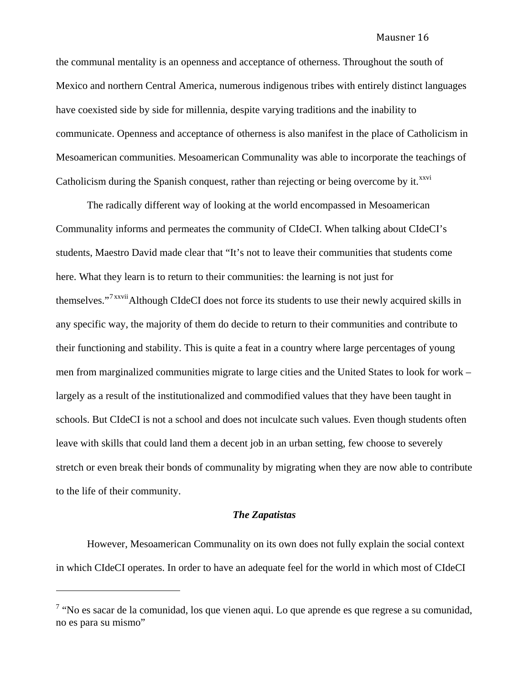the communal mentality is an openness and acceptance of otherness. Throughout the south of Mexico and northern Central America, numerous indigenous tribes with entirely distinct languages have coexisted side by side for millennia, despite varying traditions and the inability to communicate. Openness and acceptance of otherness is also manifest in the place of Catholicism in Mesoamerican communities. Mesoamerican Communality was able to incorporate the teachings of Catholicism during the Spanish conquest, rather than rejecting or being overcome by it.<sup> $xxvi$ </sup>

The radically different way of looking at the world encompassed in Mesoamerican Communality informs and permeates the community of CIdeCI. When talking about CIdeCI's students, Maestro David made clear that "It's not to leave their communities that students come here. What they learn is to return to their communities: the learning is not just for themselves."<sup>[7](#page-15-0) [xxvii](#page-43-1)</sup>Although CIdeCI does not force its students to use their newly acquired skills in any specific way, the majority of them do decide to return to their communities and contribute to their functioning and stability. This is quite a feat in a country where large percentages of young men from marginalized communities migrate to large cities and the United States to look for work – largely as a result of the institutionalized and commodified values that they have been taught in schools. But CIdeCI is not a school and does not inculcate such values. Even though students often leave with skills that could land them a decent job in an urban setting, few choose to severely stretch or even break their bonds of communality by migrating when they are now able to contribute to the life of their community.

## *The Zapatistas*

in which CIdeCI operates. In o rder to have an adequate feel for the world in which most of CIdeCI However, Mesoamerican Communality on its own does not fully explain the social context

<span id="page-15-0"></span> $7$  "No es sacar de la comunidad, los que vienen aqui. Lo que aprende es que regrese a su comunidad, no es para su mismo"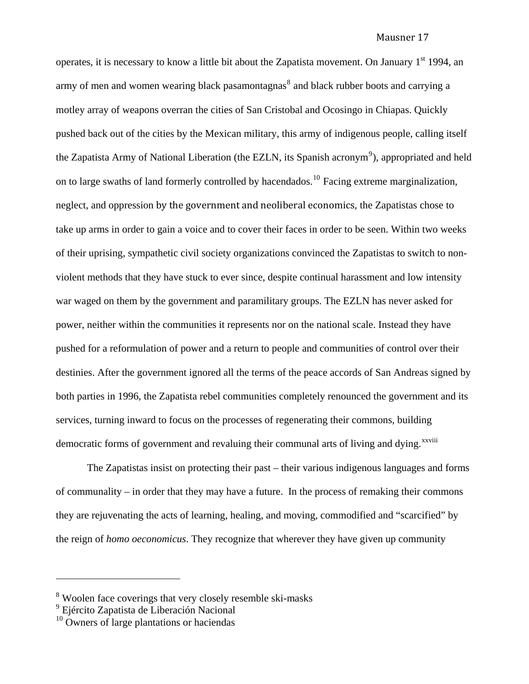operates, it is necessary to know a little bit about the Zapatista movement. On January  $1<sup>st</sup> 1994$ , an army of men and women wearing black pasamontagnas $^8$  $^8$  and black rubber boots and carrying a motley array of weapons overran the cities of San Cristobal and Ocosingo in Chiapas. Quickly pushed back out of the cities by the Mexican military, this army of indigenous people, calling itself the Zapatista Army of National Liberation (the EZLN, its Spanish acronym<sup>[9](#page-16-1)</sup>), appropriated and held on to large swaths of land formerly controlled by hacendados.<sup>[10](#page-16-2)</sup> Facing extreme marginalization, neglect, and oppression by the government and neoliberal economics, the Zapatistas chose to take up arms in order to gain a voice and to cover their faces in order to be seen. Within two weeks of their uprising, sympathetic civil society organizations convinced the Zapatistas to switch to nonviolent methods that they have stuck to ever since, despite continual harassment and low intensity war waged on them by the government and paramilitary groups. The EZLN has never asked for power, neither within the communities it represents nor on the national scale. Instead they have pushed for a reformulation of power and a return to people and communities of control over their destinies. After the government ignored all the terms of the peace accords of San Andreas signed by both parties in 1996, the Zapatista rebel communities completely renounced the government and its services, turning inward to focus on the processes of regenerating their commons, building democratic forms of government and revaluing their communal arts of living and dying.<sup>[xxviii](#page-43-1)</sup>

The Zapatistas insist on protecting their past – their various indigenous languages and forms of communality – in order that they may have a future. In the process of remaking their commons they are rejuvenating the acts of learning, healing, and moving, commodified and "scarcified" by the reign of *homo oeconomicus*. They recognize that wherever they have given up community

<span id="page-16-0"></span><sup>&</sup>lt;sup>8</sup> Woolen face coverings that very closely resemble ski-masks

<span id="page-16-1"></span><sup>9</sup> Ejército Zapatista de Liberación Nacional

<span id="page-16-2"></span> $10$  Owners of large plantations or haciendas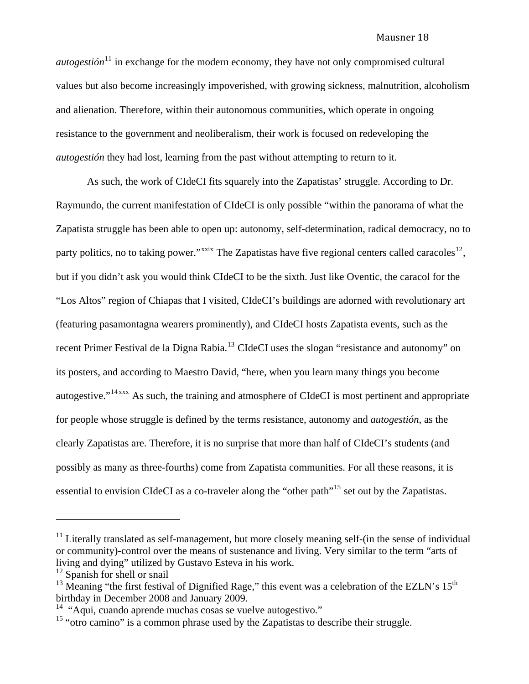*autogestión*<sup>[11](#page-17-0)</sup> in exchange for the modern economy, they have not only compromised cultural values but also become increasingly impoverished, with growing sickness, malnutrition, alcoholism and alienation. Therefore, within their autonomous communities, which operate in ongoing resistance to the government and neoliberalism, their work is focused on redeveloping the *autogestión* they had lost, learning from the past without attempting to return to it.

essential to envision CIdeCI as a co-traveler along the "other path"<sup>[15](#page-17-4)</sup> set out by the Zapatistas. As such, the work of CIdeCI fits squarely into the Zapatistas' struggle. According to Dr. Raymundo, the current manifestation of CIdeCI is only possible "within the panorama of what the Zapatista struggle has been able to open up: autonomy, self-determination, radical democracy, no to party politics, no to taking power."<sup>[xxix](#page-43-1)</sup> The Zapatistas have five regional centers called caracoles<sup>[12](#page-17-1)</sup>, but if you didn't ask you would think CIdeCI to be the sixth. Just like Oventic, the caracol for the "Los Altos" region of Chiapas that I visited, CIdeCI's buildings are adorned with revolutionary art (featuring pasamontagna wearers prominently), and CIdeCI hosts Zapatista events, such as the recent Primer Festival de la Digna Rabia.<sup>[13](#page-17-2)</sup> CIdeCI uses the slogan "resistance and autonomy" on its posters, and according to Maestro David, "here, when you learn many things you become autogestive."<sup>[14](#page-17-3) [xxx](#page-43-1)</sup> As such, the training and atmosphere of CIdeCI is most pertinent and appropriate for people whose struggle is defined by the terms resistance, autonomy and *autogestión*, as the clearly Zapatistas are. Therefore, it is no surprise that more than half of CIdeCI's students (and possibly as many as three-fourths) come from Zapatista communities. For all these reasons, it is

<span id="page-17-0"></span> $11$  Literally translated as self-management, but more closely meaning self-(in the sense of individual or community)-control over the means of sustenance and living. Very similar to the term "arts of living and dying" utilized by Gustavo Esteva in his work.

<span id="page-17-1"></span> $12$  Spanish for shell or snail

<span id="page-17-2"></span><sup>&</sup>lt;sup>13</sup> Meaning "the first festival of Dignified Rage," this event was a celebration of the EZLN's  $15<sup>th</sup>$ birthday in December 2008 and January 2009.<br><sup>14</sup> "Aqui, cuando aprende muchas cosas se vuelve autogestivo."

<span id="page-17-3"></span>

<span id="page-17-4"></span><sup>&</sup>lt;sup>15</sup> "otro camino" is a common phrase used by the Zapatistas to describe their struggle.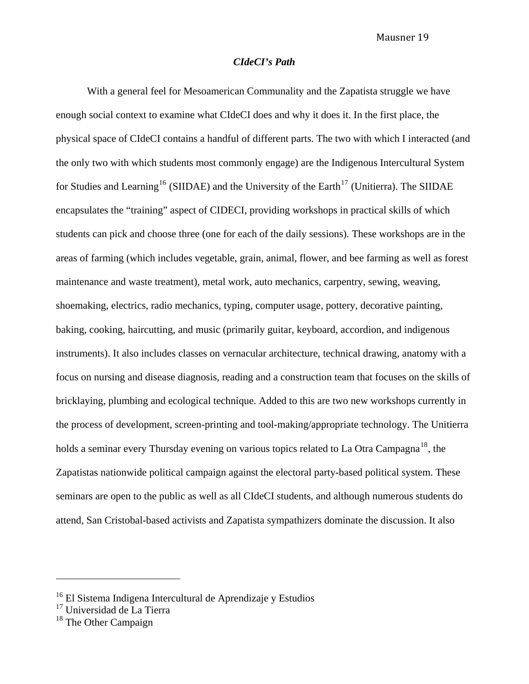## *CIdeCI's Path*

With a general feel for Mesoamerican Communality and the Zapatista struggle we have enough social context to examine what CIdeCI does and why it does it. In the first place, the physical space of CIdeCI contains a handful of different parts. The two with which I interacted (and the only two with which students most commonly engage) are the Indigenous Intercultural System for Studies and Learning<sup>[16](#page-18-0)</sup> (SIIDAE) and the University of the Earth<sup>[17](#page-18-1)</sup> (Unitierra). The SIIDAE encapsulates the "training" aspect of CIDECI, providing workshops in practical skills of which students can pick and choose three (one for each of the daily sessions). These workshops are in the areas of farming (which includes vegetable, grain, animal, flower, and bee farming as well as forest maintenance and waste treatment), metal work, auto mechanics, carpentry, sewing, weaving, shoemaking, electrics, radio mechanics, typing, computer usage, pottery, decorative painting, baking, cooking, haircutting, and music (primarily guitar, keyboard, accordion, and indigenous instruments). It also includes classes on vernacular architecture, technical drawing, anatomy with a focus on nursing and disease diagnosis, reading and a construction team that focuses on the skills of bricklaying, plumbing and ecological technique. Added to this are two new workshops currently in the process of development, screen-printing and tool-making/appropriate technology. The Unitierra holds a seminar every Thursday evening on various topics related to La Otra Campagna<sup>[18](#page-18-2)</sup>, the Zapatistas nationwide political campaign against the electoral party-based political system. These seminars are open to the public as well as all CIdeCI students, and although numerous students do attend, San Cristobal-based activists and Zapatista sympathizers dominate the discussion. It also

<span id="page-18-0"></span><sup>16</sup> El Sistema Indigena Intercultural de Aprendizaje y Estudios

<span id="page-18-1"></span><sup>&</sup>lt;sup>17</sup> Universidad de La Tierra

<span id="page-18-2"></span> $18$  The Other Campaign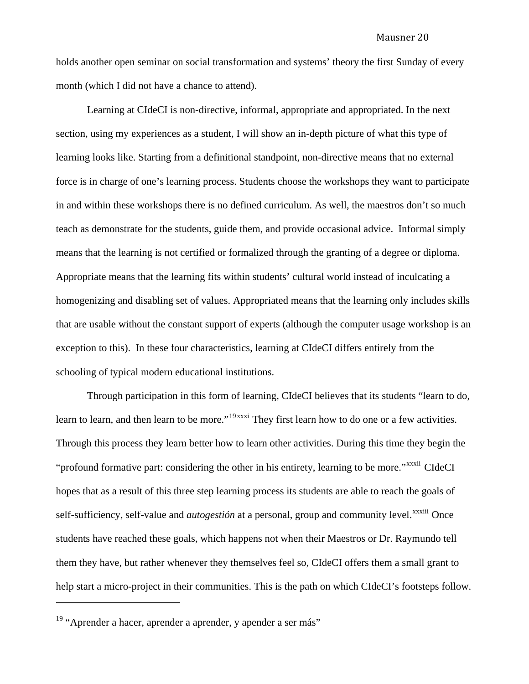holds another open seminar on social transformation and systems' theory the first Sunday of every month (which I did not have a chance to attend).

Learning at CIdeCI is non-directive, informal, appropriate and appropriated. In the next section, using my experiences as a student, I will show an in-depth picture of what this type of learning looks like. Starting from a definitional standpoint, non-directive means that no external force is in charge of one's learning process. Students choose the workshops they want to participate in and within these workshops there is no defined curriculum. As well, the maestros don't so much teach as demonstrate for the students, guide them, and provide occasional advice. Informal simply means that the learning is not certified or formalized through the granting of a degree or diploma. Appropriate means that the learning fits within students' cultural world instead of inculcating a homogenizing and disabling set of values. Appropriated means that the learning only includes skills that are usable without the constant support of experts (although the computer usage workshop is an exception to this). In these four characteristics, learning at CIdeCI differs entirely from the schooling of typical modern educational institutions.

help start a micro-project in their communities. This is the path on which CIdeCI's footsteps follow. Through participation in this form of learning, CIdeCI believes that its students "learn to do, learn to learn, and then learn to be more."<sup>[19](#page-19-0) [xxxi](#page-43-1)</sup> They first learn how to do one or a few activities. Through this process they learn better how to learn other activities. During this time they begin the "profound formative part: considering the other in his entirety, learning to be more."<sup>[xxxii](#page-43-1)</sup> CIdeCI hopes that as a result of this three step learning process its students are able to reach the goals of self-sufficiency, self-value and *autogestión* at a personal, group and community level.<sup>[xxxiii](#page-43-1)</sup> Once students have reached these goals, which happens not when their Maestros or Dr. Raymundo tell them they have, but rather whenever they themselves feel so, CIdeCI offers them a small grant to

<span id="page-19-0"></span><sup>&</sup>lt;sup>19</sup> "Aprender a hacer, aprender a aprender, y apender a ser más"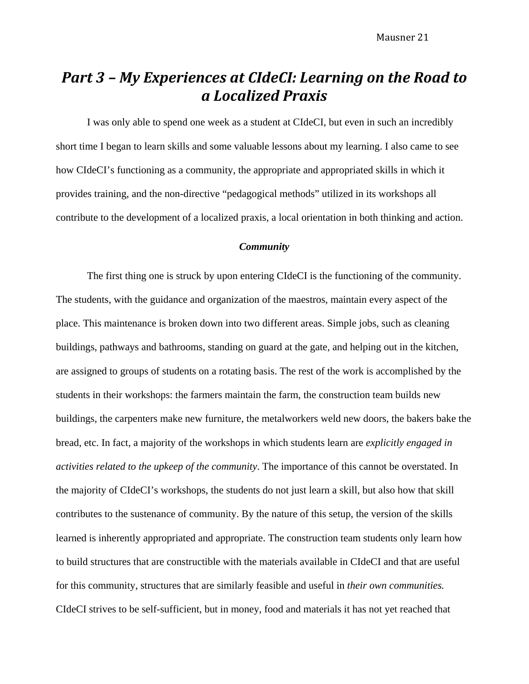# *Part 3 – My Experiences at CIdeCI: Learning on the Road to a Localized Praxis*

 I was only able to spend one week as a student at CIdeCI, but even in such an incredibly short time I began to learn skills and some valuable lessons about my learning. I also came to see how CIdeCI's functioning as a community, the appropriate and appropriated skills in which it provides training, and the non-directive "pedagogical methods" utilized in its workshops all contribute to the development of a localized praxis, a local orientation in both thinking and action.

## *Community*

The first thing one is struck by upon entering CIdeCI is the functioning of the community. The students, with the guidance and organization of the maestros, maintain every aspect of the place. This maintenance is broken down into two different areas. Simple jobs, such as cleaning buildings, pathways and bathrooms, standing on guard at the gate, and helping out in the kitchen, are assigned to groups of students on a rotating basis. The rest of the work is accomplished by the students in their workshops: the farmers maintain the farm, the construction team builds new buildings, the carpenters make new furniture, the metalworkers weld new doors, the bakers bake the bread, etc. In fact, a majority of the workshops in which students learn are *explicitly engaged in activities related to the upkeep of the community*. The importance of this cannot be overstated. In the majority of CIdeCI's workshops, the students do not just learn a skill, but also how that skill contributes to the sustenance of community. By the nature of this setup, the version of the skills learned is inherently appropriated and appropriate. The construction team students only learn how to build structures that are constructible with the materials available in CIdeCI and that are useful for this community, structures that are similarly feasible and useful in *their own communities.*  CIdeCI strives to be self-sufficient, but in money, food and materials it has not yet reached that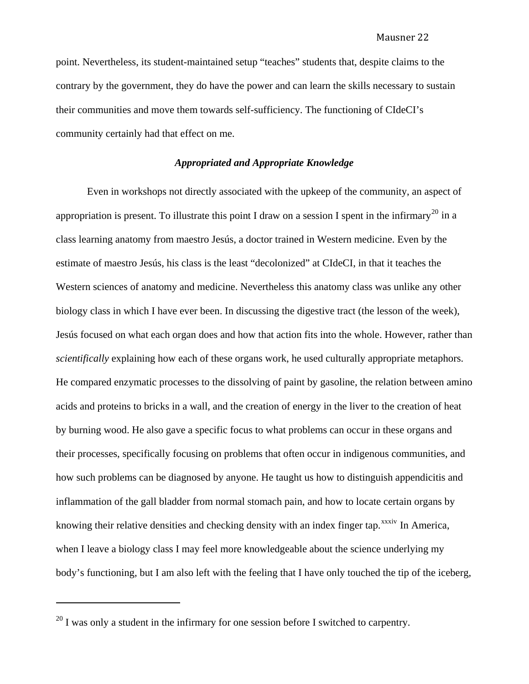point. Nevertheless, its student-maintained setup "teaches" students that, despite claims to the contrary by the government, they do have the power and can learn the skills necessary to sustain their communities and move them towards self-sufficiency. The functioning of CIdeCI's community certainly had that effect on me.

## *Appropriated and Appropriate Knowledge*

 Even in workshops not directly associated with the upkeep of the community, an aspect of appropriation is present. To illustrate this point I draw on a session I spent in the infirmary<sup>[20](#page-21-0)</sup> in a class learning anatomy from maestro Jesús, a doctor trained in Western medicine. Even by the estimate of maestro Jesús, his class is the least "decolonized" at CIdeCI, in that it teaches the Western sciences of anatomy and medicine. Nevertheless this anatomy class was unlike any other biology class in which I have ever been. In discussing the digestive tract (the lesson of the week), Jesús focused on what each organ does and how that action fits into the whole. However, rather than *scientifically* explaining how each of these organs work, he used culturally appropriate metaphors. He compared enzymatic processes to the dissolving of paint by gasoline, the relation between amino acids and proteins to bricks in a wall, and the creation of energy in the liver to the creation of heat by burning wood. He also gave a specific focus to what problems can occur in these organs and their processes, specifically focusing on problems that often occur in indigenous communities, and how such problems can be diagnosed by anyone. He taught us how to distinguish appendicitis and inflammation of the gall bladder from normal stomach pain, and how to locate certain organs by knowing their relative densities and checking density with an index finger tap.<sup>[xxxiv](#page-43-1)</sup> In America, when I leave a biology class I may feel more knowledgeable about the science underlying my body's functioning, but I am also left with the feeling that I have only touched the tip of the iceberg,

<span id="page-21-0"></span> $^{20}$  I was only a student in the infirmary for one session before I switched to carpentry.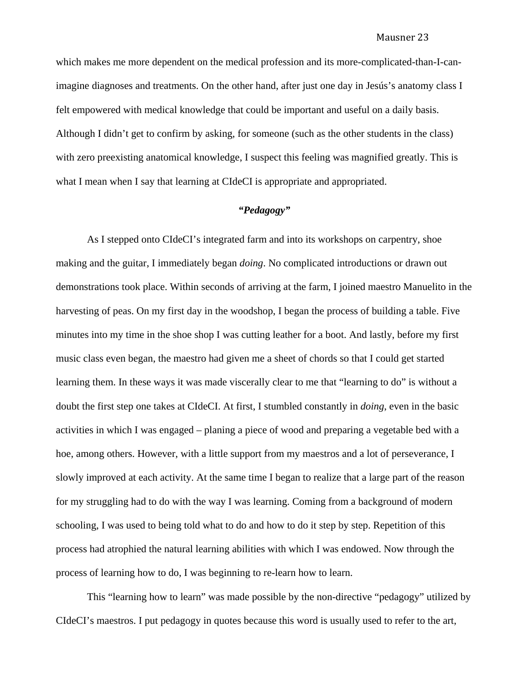which makes me more dependent on the medical profession and its more-complicated-than-I-canimagine diagnoses and treatments. On the other hand, after just one day in Jesús's anatomy class I felt empowered with medical knowledge that could be important and useful on a daily basis. Although I didn't get to confirm by asking, for someone (such as the other students in the class) with zero preexisting anatomical knowledge, I suspect this feeling was magnified greatly. This is what I mean when I say that learning at CIdeCI is appropriated and appropriated.

## *"Pedagogy"*

As I stepped onto CIdeCI's integrated farm and into its workshops on carpentry, shoe making and the guitar, I immediately began *doing*. No complicated introductions or drawn out demonstrations took place. Within seconds of arriving at the farm, I joined maestro Manuelito in the harvesting of peas. On my first day in the woodshop, I began the process of building a table. Five minutes into my time in the shoe shop I was cutting leather for a boot. And lastly, before my first music class even began, the maestro had given me a sheet of chords so that I could get started learning them. In these ways it was made viscerally clear to me that "learning to do" is without a doubt the first step one takes at CIdeCI. At first, I stumbled constantly in *doing*, even in the basic activities in which I was engaged – planing a piece of wood and preparing a vegetable bed with a hoe, among others. However, with a little support from my maestros and a lot of perseverance, I slowly improved at each activity. At the same time I began to realize that a large part of the reason for my struggling had to do with the way I was learning. Coming from a background of modern schooling, I was used to being told what to do and how to do it step by step. Repetition of this process had atrophied the natural learning abilities with which I was endowed. Now through the process of learning how to do, I was beginning to re-learn how to learn.

This "learning how to learn" was made possible by the non-directive "pedagogy" utilized by CIdeCI's maestros. I put pedagogy in quotes because this word is usually used to refer to the art,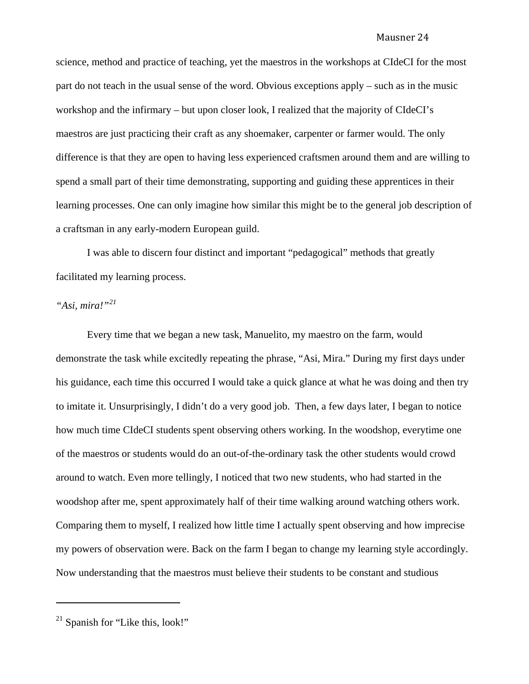science, method and practice of teaching, yet the maestros in the workshops at CIdeCI for the most part do not teach in the usual sense of the word. Obvious exceptions apply – such as in the music workshop and the infirmary – but upon closer look, I realized that the majority of CIdeCI's maestros are just practicing their craft as any shoemaker, carpenter or farmer would. The only difference is that they are open to having less experienced craftsmen around them and are willing to spend a small part of their time demonstrating, supporting and guiding these apprentices in their learning processes. One can only imagine how similar this might be to the general job description of a craftsman in any early-modern European guild.

I was able to discern four distinct and important "pedagogical" methods that greatly facilitated my learning process.

## *"Asi, mira!"[21](#page-23-0)*

 Every time that we began a new task, Manuelito, my maestro on the farm, would demonstrate the task while excitedly repeating the phrase, "Asi, Mira." During my first days under his guidance, each time this occurred I would take a quick glance at what he was doing and then try to imitate it. Unsurprisingly, I didn't do a very good job. Then, a few days later, I began to notice how much time CIdeCI students spent observing others working. In the woodshop, everytime one of the maestros or students would do an out-of-the-ordinary task the other students would crowd around to watch. Even more tellingly, I noticed that two new students, who had started in the woodshop after me, spent approximately half of their time walking around watching others work. Comparing them to myself, I realized how little time I actually spent observing and how imprecise my powers of observation were. Back on the farm I began to change my learning style accordingly. Now understanding that the maestros must believe their students to be constant and studious

<span id="page-23-0"></span> $21$  Spanish for "Like this, look!"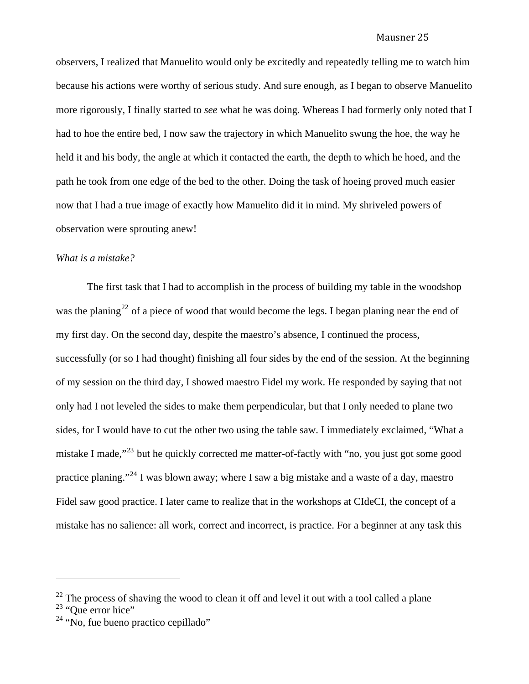observers, I realized that Manuelito would only be excitedly and repeatedly telling me to watch him because his actions were worthy of serious study. And sure enough, as I began to observe Manuelito more rigorously, I finally started to *see* what he was doing. Whereas I had formerly only noted that I had to hoe the entire bed, I now saw the trajectory in which Manuelito swung the hoe, the way he held it and his body, the angle at which it contacted the earth, the depth to which he hoed, and the path he took from one edge of the bed to the other. Doing the task of hoeing proved much easier now that I had a true image of exactly how Manuelito did it in mind. My shriveled powers of observation were sprouting anew!

## *What is a mistake?*

 The first task that I had to accomplish in the process of building my table in the woodshop was the planing<sup>[22](#page-24-0)</sup> of a piece of wood that would become the legs. I began planing near the end of my first day. On the second day, despite the maestro's absence, I continued the process, successfully (or so I had thought) finishing all four sides by the end of the session. At the beginning of my session on the third day, I showed maestro Fidel my work. He responded by saying that not only had I not leveled the sides to make them perpendicular, but that I only needed to plane two sides, for I would have to cut the other two using the table saw. I immediately exclaimed, "What a mistake I made,<sup>"[23](#page-24-1)</sup> but he quickly corrected me matter-of-factly with "no, you just got some good practice planing."<sup>[24](#page-24-2)</sup> I was blown away; where I saw a big mistake and a waste of a day, maestro Fidel saw good practice. I later came to realize that in the workshops at CIdeCI, the concept of a mistake has no salience: all work, correct and incorrect, is practice. For a beginner at any task this

<span id="page-24-0"></span> $22$  The process of shaving the wood to clean it off and level it out with a tool called a plane

<span id="page-24-1"></span> $23$  "Que error hice"

<span id="page-24-2"></span> $24$  "No, fue bueno practico cepillado"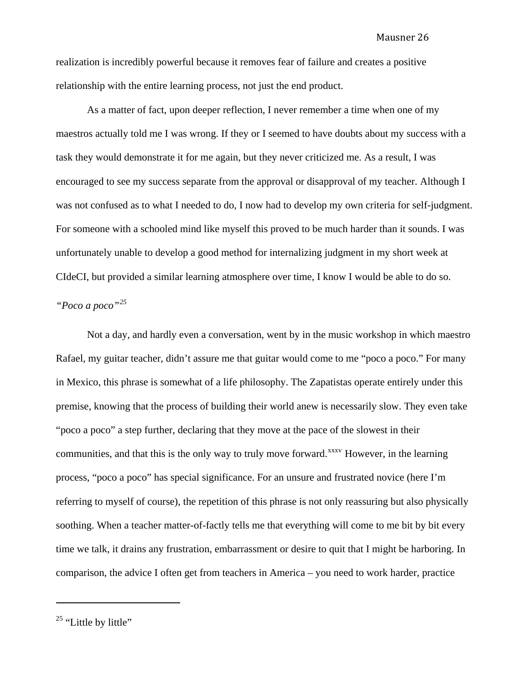realization is incredibly powerful because it removes fear of failure and creates a positive relationship with the entire learning process, not just the end product.

As a matter of fact, upon deeper reflection, I never remember a time when one of my maestros actually told me I was wrong. If they or I seemed to have doubts about my success with a task they would demonstrate it for me again, but they never criticized me. As a result, I was encouraged to see my success separate from the approval or disapproval of my teacher. Although I was not confused as to what I needed to do, I now had to develop my own criteria for self-judgment. For someone with a schooled mind like myself this proved to be much harder than it sounds. I was unfortunately unable to develop a good method for internalizing judgment in my short week at CIdeCI, but provided a similar learning atmosphere over time, I know I would be able to do so.

## *"Poco a poco"[25](#page-25-0)*

Not a day, and hardly even a conversation, went by in the music workshop in which maestro Rafael, my guitar teacher, didn't assure me that guitar would come to me "poco a poco." For many in Mexico, this phrase is somewhat of a life philosophy. The Zapatistas operate entirely under this premise, knowing that the process of building their world anew is necessarily slow. They even take "poco a poco" a step further, declaring that they move at the pace of the slowest in their communities, and that this is the only way to truly move forward.<sup>[xxxv](#page-43-1)</sup> However, in the learning process, "poco a poco" has special significance. For an unsure and frustrated novice (here I'm referring to myself of course), the repetition of this phrase is not only reassuring but also physically soothing. When a teacher matter-of-factly tells me that everything will come to me bit by bit every time we talk, it drains any frustration, embarrassment or desire to quit that I might be harboring. In comparison, the advice I often get from teachers in America – you need to work harder, practice

<span id="page-25-0"></span> $25$  "Little by little"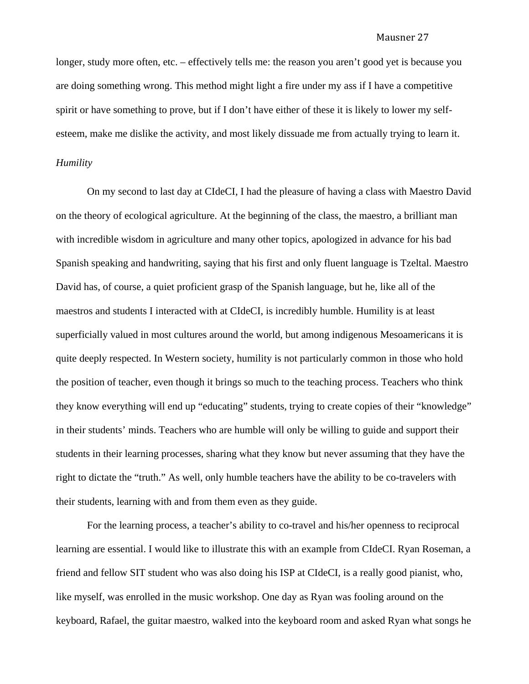longer, study more often, etc. – effectively tells me: the reason you aren't good yet is because you are doing something wrong. This method might light a fire under my ass if I have a competitive spirit or have something to prove, but if I don't have either of these it is likely to lower my selfesteem, make me dislike the activity, and most likely dissuade me from actually trying to learn it. *Humility* 

On my second to last day at CIdeCI, I had the pleasure of having a class with Maestro David on the theory of ecological agriculture. At the beginning of the class, the maestro, a brilliant man with incredible wisdom in agriculture and many other topics, apologized in advance for his bad Spanish speaking and handwriting, saying that his first and only fluent language is Tzeltal. Maestro David has, of course, a quiet proficient grasp of the Spanish language, but he, like all of the maestros and students I interacted with at CIdeCI, is incredibly humble. Humility is at least superficially valued in most cultures around the world, but among indigenous Mesoamericans it is quite deeply respected. In Western society, humility is not particularly common in those who hold the position of teacher, even though it brings so much to the teaching process. Teachers who think they know everything will end up "educating" students, trying to create copies of their "knowledge" in their students' minds. Teachers who are humble will only be willing to guide and support their students in their learning processes, sharing what they know but never assuming that they have the right to dictate the "truth." As well, only humble teachers have the ability to be co-travelers with their students, learning with and from them even as they guide.

For the learning process, a teacher's ability to co-travel and his/her openness to reciprocal learning are essential. I would like to illustrate this with an example from CIdeCI. Ryan Roseman, a friend and fellow SIT student who was also doing his ISP at CIdeCI, is a really good pianist, who, like myself, was enrolled in the music workshop. One day as Ryan was fooling around on the keyboard, Rafael, the guitar maestro, walked into the keyboard room and asked Ryan what songs he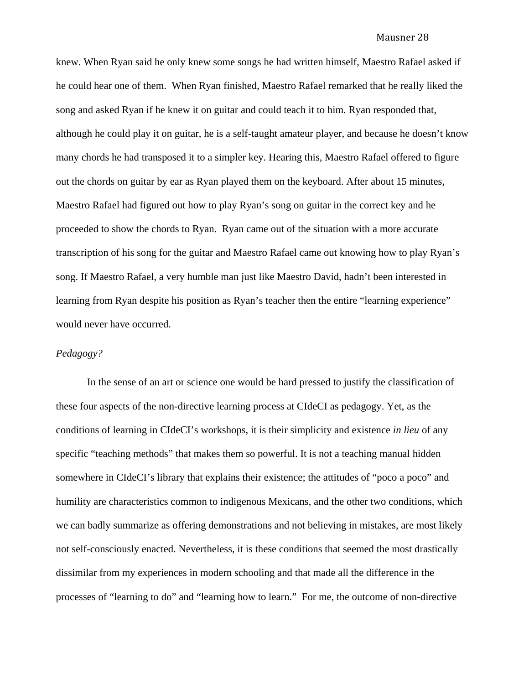knew. When Ryan said he only knew some songs he had written himself, Maestro Rafael asked if he could hear one of them. When Ryan finished, Maestro Rafael remarked that he really liked the song and asked Ryan if he knew it on guitar and could teach it to him. Ryan responded that, although he could play it on guitar, he is a self-taught amateur player, and because he doesn't know many chords he had transposed it to a simpler key. Hearing this, Maestro Rafael offered to figure out the chords on guitar by ear as Ryan played them on the keyboard. After about 15 minutes, Maestro Rafael had figured out how to play Ryan's song on guitar in the correct key and he proceeded to show the chords to Ryan. Ryan came out of the situation with a more accurate transcription of his song for the guitar and Maestro Rafael came out knowing how to play Ryan's song. If Maestro Rafael, a very humble man just like Maestro David, hadn't been interested in learning from Ryan despite his position as Ryan's teacher then the entire "learning experience" would never have occurred.

## *Pedagogy?*

 In the sense of an art or science one would be hard pressed to justify the classification of these four aspects of the non-directive learning process at CIdeCI as pedagogy. Yet, as the conditions of learning in CIdeCI's workshops, it is their simplicity and existence *in lieu* of any specific "teaching methods" that makes them so powerful. It is not a teaching manual hidden somewhere in CIdeCI's library that explains their existence; the attitudes of "poco a poco" and humility are characteristics common to indigenous Mexicans, and the other two conditions, which we can badly summarize as offering demonstrations and not believing in mistakes, are most likely not self-consciously enacted. Nevertheless, it is these conditions that seemed the most drastically dissimilar from my experiences in modern schooling and that made all the difference in the processes of "learning to do" and "learning how to learn." For me, the outcome of non-directive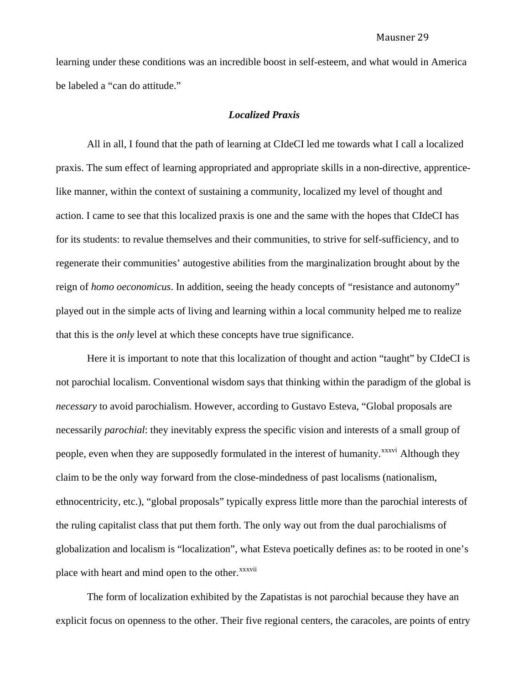learning under these conditions was an incredible boost in self-esteem, and what would in America be labeled a "can do attitude."

## *Localized Praxis*

All in all, I found that the path of learning at CIdeCI led me towards what I call a localized praxis. The sum effect of learning appropriated and appropriate skills in a non-directive, apprenticelike manner, within the context of sustaining a community, localized my level of thought and action. I came to see that this localized praxis is one and the same with the hopes that CIdeCI has for its students: to revalue themselves and their communities, to strive for self-sufficiency, and to regenerate their communities' autogestive abilities from the marginalization brought about by the reign of *homo oeconomicus*. In addition, seeing the heady concepts of "resistance and autonomy" played out in the simple acts of living and learning within a local community helped me to realize that this is the *only* level at which these concepts have true significance.

Here it is important to note that this localization of thought and action "taught" by CIdeCI is not parochial localism. Conventional wisdom says that thinking within the paradigm of the global is *necessary* to avoid parochialism. However, according to Gustavo Esteva, "Global proposals are necessarily *parochial*: they inevitably express the specific vision and interests of a small group of people, even when they are supposedly formulated in the interest of humanity.<sup>[xxxvi](#page-43-1)</sup> Although they claim to be the only way forward from the close-mindedness of past localisms (nationalism, ethnocentricity, etc.), "global proposals" typically express little more than the parochial interests of the ruling capitalist class that put them forth. The only way out from the dual parochialisms of globalization and localism is "localization", what Esteva poetically defines as: to be rooted in one's place with heart and mind open to the other.<sup>[xxxvii](#page-43-1)</sup>

The form of localization exhibited by the Zapatistas is not parochial because they have an explicit focus on openness to the other. Their five regional centers, the caracoles, are points of entry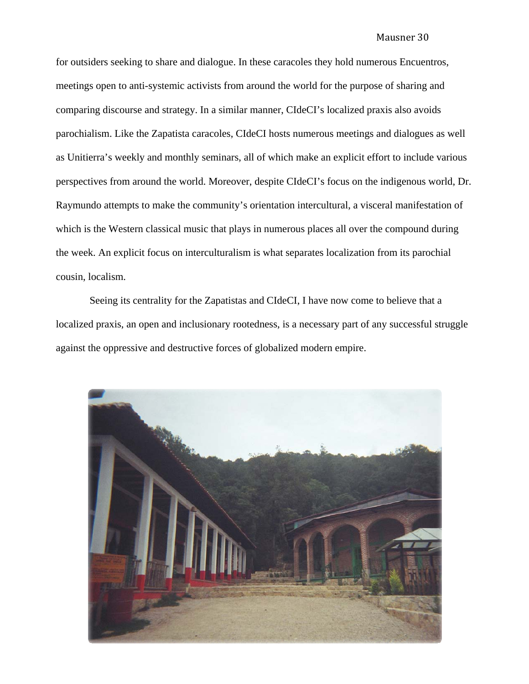for outsiders seeking to share and dialogue. In these caracoles they hold numerous Encuentros, meetings open to anti-systemic activists from around the world for the purpose of sharing and comparing discourse and strategy. In a similar manner, CIdeCI's localized praxis also avoids parochialism. Like the Zapatista caracoles, CIdeCI hosts numerous meetings and dialogues as well as Unitierra's weekly and monthly seminars, all of which make an explicit effort to include various perspectives from around the world. Moreover, despite CIdeCI's focus on the indigenous world, Dr. Raymundo attempts to make the community's orientation intercultural, a visceral manifestation of which is the Western classical music that plays in numerous places all over the compound during the week. An explicit focus on interculturalism is what separates localization from its parochial cousin, localism.

 Seeing its centrality for the Zapatistas and CIdeCI, I have now come to believe that a localized praxis, an open and inclusionary rootedness, is a necessary part of any successful struggle against the oppressive and destructive forces of globalized modern empire.

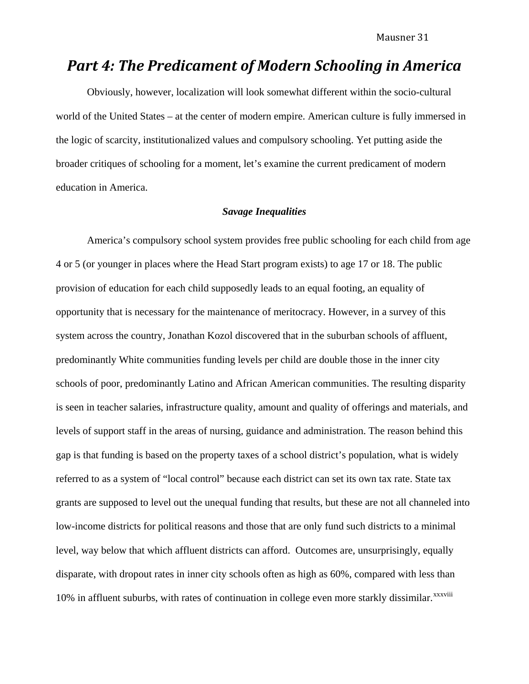# *Part 4: The Predicament of Modern Schooling in America*

Obviously, however, localization will look somewhat different within the socio-cultural world of the United States – at the center of modern empire. American culture is fully immersed in the logic of scarcity, institutionalized values and compulsory schooling. Yet putting aside the broader critiques of schooling for a moment, let's examine the current predicament of modern education in America.

## *Savage Inequalities*

America's compulsory school system provides free public schooling for each child from age 4 or 5 (or younger in places where the Head Start program exists) to age 17 or 18. The public provision of education for each child supposedly leads to an equal footing, an equality of opportunity that is necessary for the maintenance of meritocracy. However, in a survey of this system across the country, Jonathan Kozol discovered that in the suburban schools of affluent, predominantly White communities funding levels per child are double those in the inner city schools of poor, predominantly Latino and African American communities. The resulting disparity is seen in teacher salaries, infrastructure quality, amount and quality of offerings and materials, and levels of support staff in the areas of nursing, guidance and administration. The reason behind this gap is that funding is based on the property taxes of a school district's population, what is widely referred to as a system of "local control" because each district can set its own tax rate. State tax grants are supposed to level out the unequal funding that results, but these are not all channeled into low-income districts for political reasons and those that are only fund such districts to a minimal level, way below that which affluent districts can afford. Outcomes are, unsurprisingly, equally disparate, with dropout rates in inner city schools often as high as 60%, compared with less than 10% in affluent suburbs, with rates of continuation in college even more starkly dissimilar.<sup>[xxxviii](#page-43-1)</sup>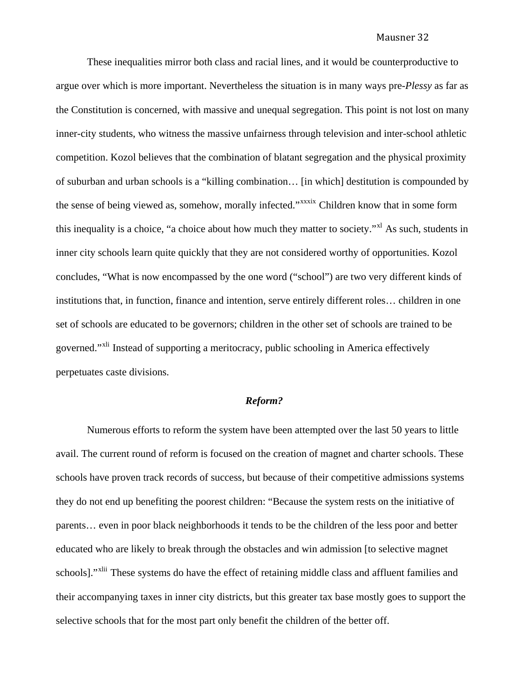These inequalities mirror both class and racial lines, and it would be counterproductive to argue over which is more important. Nevertheless the situation is in many ways pre-*Plessy* as far as the Constitution is concerned, with massive and unequal segregation. This point is not lost on many inner-city students, who witness the massive unfairness through television and inter-school athletic competition. Kozol believes that the combination of blatant segregation and the physical proximity of suburban and urban schools is a "killing combination… [in which] destitution is compounded by the sense of being viewed as, somehow, morally infected."<sup>[xxxix](#page-43-1)</sup> Children know that in some form this inequality is a choice, "a choice about how much they matter to society."<sup>[xl](#page-43-1)</sup> As such, students in inner city schools learn quite quickly that they are not considered worthy of opportunities. Kozol concludes, "What is now encompassed by the one word ("school") are two very different kinds of institutions that, in function, finance and intention, serve entirely different roles… children in one set of schools are educated to be governors; children in the other set of schools are trained to be governed."<sup>[xli](#page-43-1)</sup> Instead of supporting a meritocracy, public schooling in America effectively perpetuates caste divisions.

## *Reform?*

Numerous efforts to reform the system have been attempted over the last 50 years to little avail. The current round of reform is focused on the creation of magnet and charter schools. These schools have proven track records of success, but because of their competitive admissions systems they do not end up benefiting the poorest children: "Because the system rests on the initiative of parents… even in poor black neighborhoods it tends to be the children of the less poor and better educated who are likely to break through the obstacles and win admission [to selective magnet schools]."<sup>[xlii](#page-43-1)</sup> These systems do have the effect of retaining middle class and affluent families and their accompanying taxes in inner city districts, but this greater tax base mostly goes to support the selective schools that for the most part only benefit the children of the better off.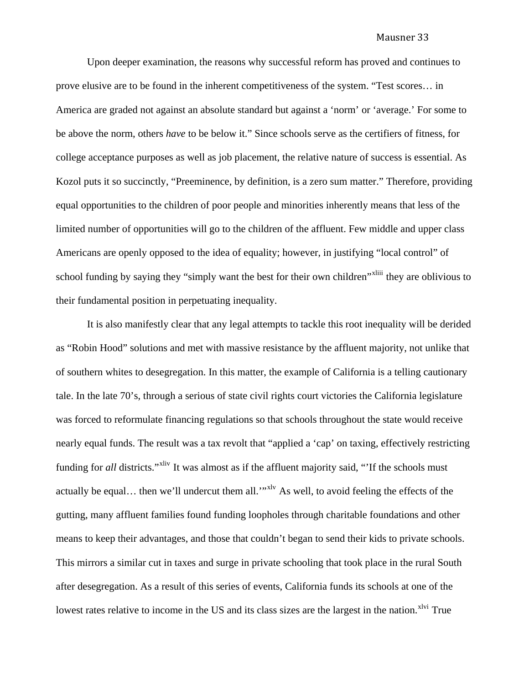Upon deeper examination, the reasons why successful reform has proved and continues to prove elusive are to be found in the inherent competitiveness of the system. "Test scores… in America are graded not against an absolute standard but against a 'norm' or 'average.' For some to be above the norm, others *have* to be below it." Since schools serve as the certifiers of fitness, for college acceptance purposes as well as job placement, the relative nature of success is essential. As Kozol puts it so succinctly, "Preeminence, by definition, is a zero sum matter." Therefore, providing equal opportunities to the children of poor people and minorities inherently means that less of the limited number of opportunities will go to the children of the affluent. Few middle and upper class Americans are openly opposed to the idea of equality; however, in justifying "local control" of school funding by saying they "simply want the best for their own children"<sup>[xliii](#page-43-1)</sup> they are oblivious to their fundamental position in perpetuating inequality.

It is also manifestly clear that any legal attempts to tackle this root inequality will be derided as "Robin Hood" solutions and met with massive resistance by the affluent majority, not unlike that of southern whites to desegregation. In this matter, the example of California is a telling cautionary tale. In the late 70's, through a serious of state civil rights court victories the California legislature was forced to reformulate financing regulations so that schools throughout the state would receive nearly equal funds. The result was a tax revolt that "applied a 'cap' on taxing, effectively restricting funding for *all* districts."<sup>[xliv](#page-43-1)</sup> It was almost as if the affluent majority said, "If the schools must actually be equal... then we'll undercut them all."<sup>[xlv](#page-43-1)</sup> As well, to avoid feeling the effects of the gutting, many affluent families found funding loopholes through charitable foundations and other means to keep their advantages, and those that couldn't began to send their kids to private schools. This mirrors a similar cut in taxes and surge in private schooling that took place in the rural South after desegregation. As a result of this series of events, California funds its schools at one of the lowest rates relative to income in the US and its class sizes are the largest in the nation.<sup>[xlvi](#page-43-1)</sup> True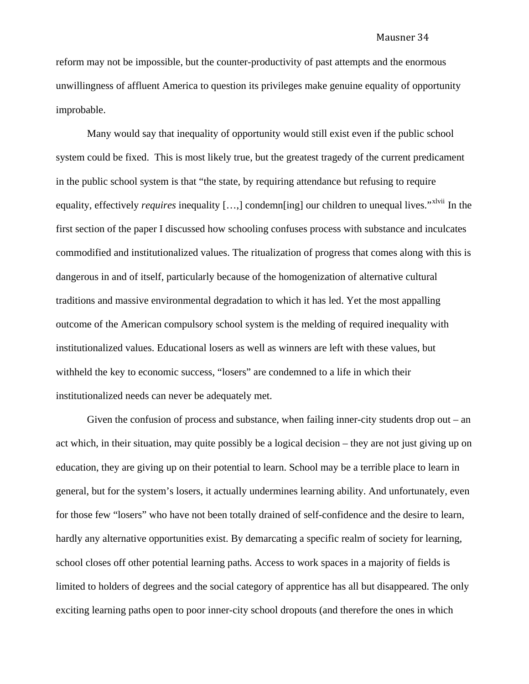reform may not be impossible, but the counter-productivity of past attempts and the enormous unwillingness of affluent America to question its privileges make genuine equality of opportunity improbable.

Many would say that inequality of opportunity would still exist even if the public school system could be fixed. This is most likely true, but the greatest tragedy of the current predicament in the public school system is that "the state, by requiring attendance but refusing to require equality, effectively *requires* inequality [...,] condemn[ing] our children to unequal lives."<sup>[xlvii](#page-43-1)</sup> In the first section of the paper I discussed how schooling confuses process with substance and inculcates commodified and institutionalized values. The ritualization of progress that comes along with this is dangerous in and of itself, particularly because of the homogenization of alternative cultural traditions and massive environmental degradation to which it has led. Yet the most appalling outcome of the American compulsory school system is the melding of required inequality with institutionalized values. Educational losers as well as winners are left with these values, but withheld the key to economic success, "losers" are condemned to a life in which their institutionalized needs can never be adequately met.

Given the confusion of process and substance, when failing inner-city students drop out – an act which, in their situation, may quite possibly be a logical decision – they are not just giving up on education, they are giving up on their potential to learn. School may be a terrible place to learn in general, but for the system's losers, it actually undermines learning ability. And unfortunately, even for those few "losers" who have not been totally drained of self-confidence and the desire to learn, hardly any alternative opportunities exist. By demarcating a specific realm of society for learning, school closes off other potential learning paths. Access to work spaces in a majority of fields is limited to holders of degrees and the social category of apprentice has all but disappeared. The only exciting learning paths open to poor inner-city school dropouts (and therefore the ones in which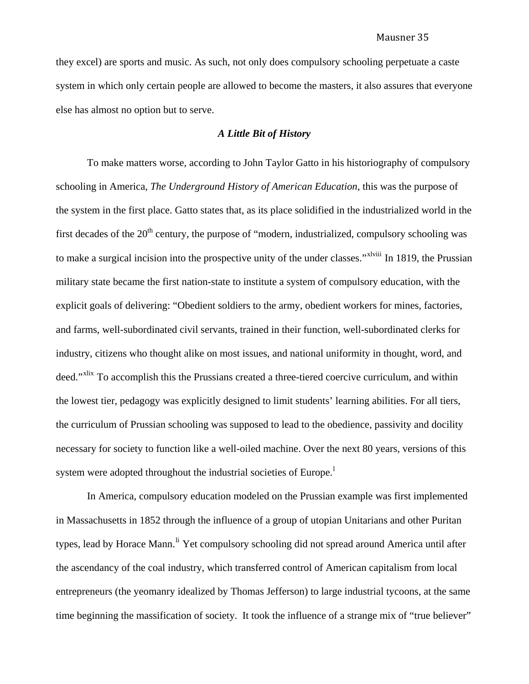they excel) are sports and music. As such, not only does compulsory schooling perpetuate a caste system in which only certain people are allowed to become the masters, it also assures that everyone else has almost no option but to serve.

## *A Little Bit of History*

To make matters worse, according to John Taylor Gatto in his historiography of compulsory schooling in America, *The Underground History of American Education*, this was the purpose of the system in the first place. Gatto states that, as its place solidified in the industrialized world in the first decades of the  $20<sup>th</sup>$  century, the purpose of "modern, industrialized, compulsory schooling was to make a surgical incision into the prospective unity of the under classes."<sup>[xlviii](#page-43-1)</sup> In 1819, the Prussian military state became the first nation-state to institute a system of compulsory education, with the explicit goals of delivering: "Obedient soldiers to the army, obedient workers for mines, factories, and farms, well-subordinated civil servants, trained in their function, well-subordinated clerks for industry, citizens who thought alike on most issues, and national uniformity in thought, word, and deed."<sup>[xlix](#page-43-1)</sup> To accomplish this the Prussians created a three-tiered coercive curriculum, and within the lowest tier, pedagogy was explicitly designed to limit students' learning abilities. For all tiers, the curriculum of Prussian schooling was supposed to lead to the obedience, passivity and docility necessary for society to function like a well-oiled machine. Over the next 80 years, versions of this system were adopted throughout the industria[l](#page-43-1) societies of Europe.<sup>1</sup>

 In America, compulsory education modeled on the Prussian example was first implemented in Massachusetts in 1852 through the influence of a group of utopian Unitarians and other Puritan types, lead by Horace Mann.<sup>[li](#page-43-1)</sup> Yet compulsory schooling did not spread around America until after the ascendancy of the coal industry, which transferred control of American capitalism from local entrepreneurs (the yeomanry idealized by Thomas Jefferson) to large industrial tycoons, at the same time beginning the massification of society. It took the influence of a strange mix of "true believer"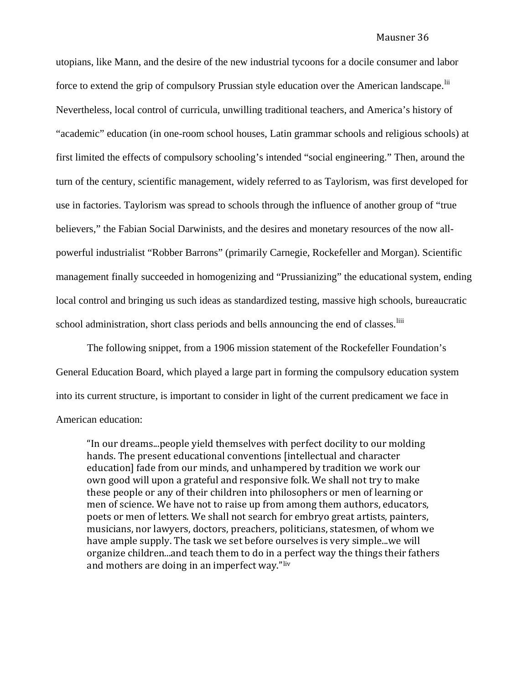utopians, like Mann, and the desire of the new industrial tycoons for a docile consumer and labor force to extend the grip of compulsory Prussian style education over the American landscape. <sup>[lii](#page-43-1)</sup> Nevertheless, local control of curricula, unwilling traditional teachers, and America's history of "academic" education (in one-room school houses, Latin grammar schools and religious schools) at first limited the effects of compulsory schooling's intended "social engineering." Then, around the turn of the century, scientific management, widely referred to as Taylorism, was first developed for use in factories. Taylorism was spread to schools through the influence of another group of "true believers," the Fabian Social Darwinists, and the desires and monetary resources of the now allpowerful industrialist "Robber Barrons" (primarily Carnegie, Rockefeller and Morgan). Scientific management finally succeeded in homogenizing and "Prussianizing" the educational system, ending local control and bringing us such ideas as standardized testing, massive high schools, bureaucratic school administration, short class periods and bells announcing the end of classes. <sup>[liii](#page-43-1)</sup>

 The following snippet, from a 1906 mission statement of the Rockefeller Foundation's General Education Board, which played a large part in forming the compulsory education system into its current structure, is important to consider in light of the current predicament we face in American education:

"In our dreams...people yield themselves with perfect docility to our molding hands. The present educational conventions [intellectual and character education] fade from our minds, and unhampered by tradition we work our own good will upon a grateful and responsive folk. We shall not try to make these people or any of their children into philosophers or men of learning or men of science. We have not to raise up from among them authors, educators, poets or men of letters. We shall not search for embryo great artists, painters, musicians, nor lawyers, doctors, preachers, politicians, statesmen, of whom we have ample supply. The task we set before ourselves is very simple...we will organize children...and teach them to do in a [pe](#page-43-1)rfect way the things their fathers and mothers are doing in an imperfect way."liv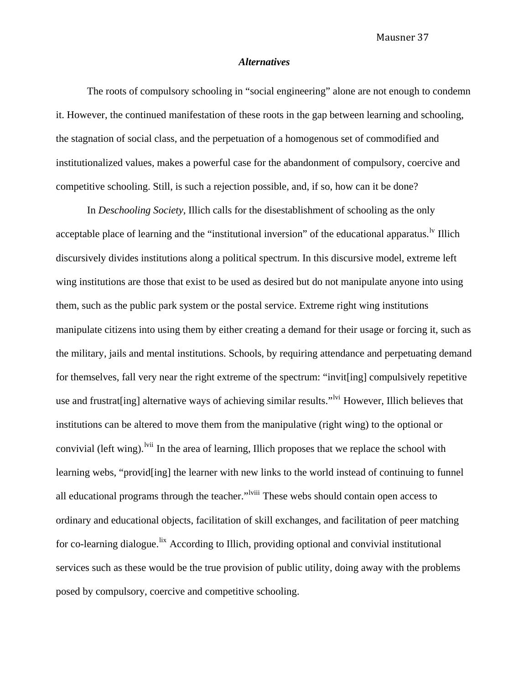## *Alternatives*

 The roots of compulsory schooling in "social engineering" alone are not enough to condemn it. However, the continued manifestation of these roots in the gap between learning and schooling, the stagnation of social class, and the perpetuation of a homogenous set of commodified and institutionalized values, makes a powerful case for the abandonment of compulsory, coercive and competitive schooling. Still, is such a rejection possible, and, if so, how can it be done?

 In *Deschooling Society,* Illich calls for the disestablishment of schooling as the only acceptable place of learning and the "institutional inversion" of the educational apparatus.<sup>1v</sup> Illich discursively divides institutions along a political spectrum. In this discursive model, extreme left wing institutions are those that exist to be used as desired but do not manipulate anyone into using them, such as the public park system or the postal service. Extreme right wing institutions manipulate citizens into using them by either creating a demand for their usage or forcing it, such as the military, jails and mental institutions. Schools, by requiring attendance and perpetuating demand for themselves, fall very near the right extreme of the spectrum: "invit[ing] compulsively repetitive use and frustrat [ing] alternative ways of achieving similar results."<sup>Ivi</sup> However, Illich believes that institutions can be altered to move them from the manipulative (right wing) to the optional or convivial (left wing). <sup>Ivii</sup> In the area of learning, Illich proposes that we replace the school with learning webs, "provid[ing] the learner with new links to the world instead of continuing to funnel all educational programs through the teacher."<sup>Iviii</sup> These webs should contain open access to ordinary and educational objects, facilitation of skill exchanges, and facilitation of peer matching for co-learning dialogue.<sup>[lix](#page-43-1)</sup> According to Illich, providing optional and convivial institutional services such as these would be the true provision of public utility, doing away with the problems posed by compulsory, coercive and competitive schooling.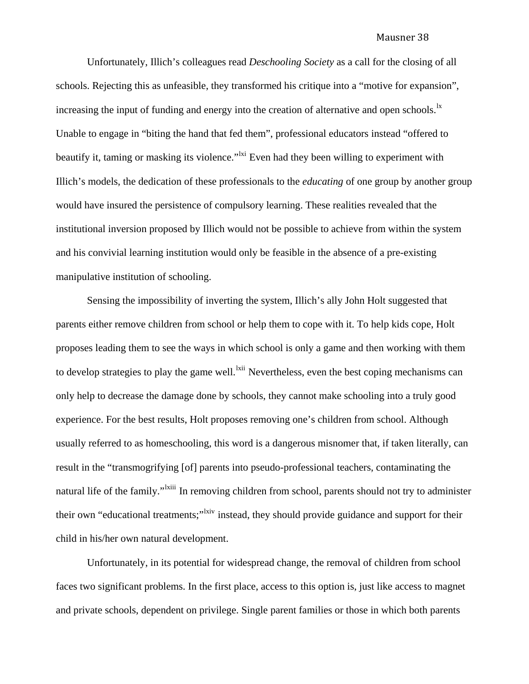Unfortunately, Illich's colleagues read *Deschooling Society* as a call for the closing of all schools. Rejecting this as unfeasible, they transformed his critique into a "motive for expansion", increasing the input of funding and energy into the creation of alternative and open schools.<sup>1x</sup> Unable to engage in "biting the hand that fed them", professional educators instead "offered to beautify it, taming or masking its violence."<sup>Ixi</sup> Even had they been willing to experiment with Illich's models, the dedication of these professionals to the *educating* of one group by another group would have insured the persistence of compulsory learning. These realities revealed that the institutional inversion proposed by Illich would not be possible to achieve from within the system and his convivial learning institution would only be feasible in the absence of a pre-existing manipulative institution of schooling.

 Sensing the impossibility of inverting the system, Illich's ally John Holt suggested that parents either remove children from school or help them to cope with it. To help kids cope, Holt proposes leading them to see the ways in which school is only a game and then working with them to develop strategies to play the game well.<sup>Ixii</sup> Nevertheless, even the best coping mechanisms can only help to decrease the damage done by schools, they cannot make schooling into a truly good experience. For the best results, Holt proposes removing one's children from school. Although usually referred to as homeschooling, this word is a dangerous misnomer that, if taken literally, can result in the "transmogrifying [of] parents into pseudo-professional teachers, contaminating the natural life of the family."<sup>Ixiii</sup> In removing children from school, parents should not try to administer their own "educational treatments;"<sup>[lxiv](#page-43-1)</sup> instead, they should provide guidance and support for their child in his/her own natural development.

 Unfortunately, in its potential for widespread change, the removal of children from school faces two significant problems. In the first place, access to this option is, just like access to magnet and private schools, dependent on privilege. Single parent families or those in which both parents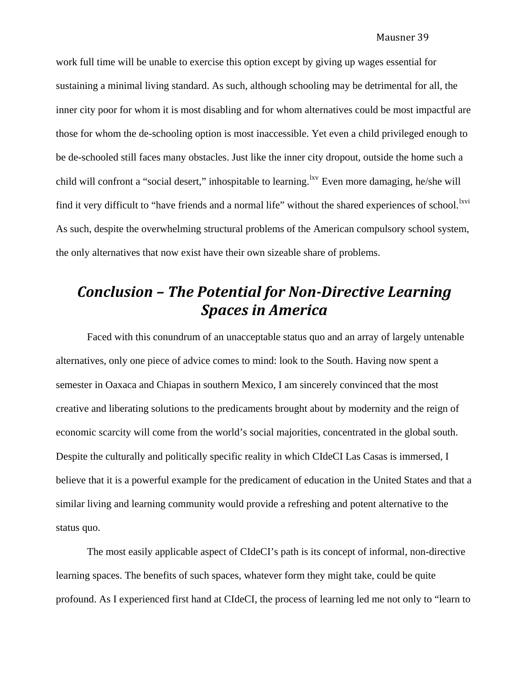work full time will be unable to exercise this option except by giving up wages essential for sustaining a minimal living standard. As such, although schooling may be detrimental for all, the inner city poor for whom it is most disabling and for whom alternatives could be most impactful are those for whom the de-schooling option is most inaccessible. Yet even a child privileged enough to be de-schooled still faces many obstacles. Just like the inner city dropout, outside the home such a child will confront a "social desert," inhospitable to learning. <sup>Ixv</sup> Even more damaging, he/she will find it very difficult to "have friends and a normal life" without the shared experiences of school.<sup>[lxvi](#page-43-1)</sup> As such, despite the overwhelming structural problems of the American compulsory school system, the only alternatives that now exist have their own sizeable share of problems.

# *Conclusion – The Potential for NonDirective Learning Spaces in America*

 Faced with this conundrum of an unacceptable status quo and an array of largely untenable alternatives, only one piece of advice comes to mind: look to the South. Having now spent a semester in Oaxaca and Chiapas in southern Mexico, I am sincerely convinced that the most creative and liberating solutions to the predicaments brought about by modernity and the reign of economic scarcity will come from the world's social majorities, concentrated in the global south. Despite the culturally and politically specific reality in which CIdeCI Las Casas is immersed, I believe that it is a powerful example for the predicament of education in the United States and that a similar living and learning community would provide a refreshing and potent alternative to the status quo.

 The most easily applicable aspect of CIdeCI's path is its concept of informal, non-directive learning spaces. The benefits of such spaces, whatever form they might take, could be quite profound. As I experienced first hand at CIdeCI, the process of learning led me not only to "learn to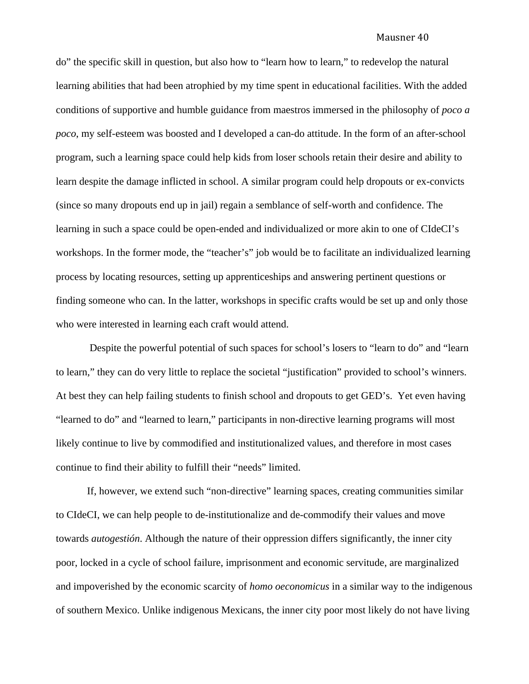do" the specific skill in question, but also how to "learn how to learn," to redevelop the natural learning abilities that had been atrophied by my time spent in educational facilities. With the added conditions of supportive and humble guidance from maestros immersed in the philosophy of *poco a poco*, my self-esteem was boosted and I developed a can-do attitude. In the form of an after-school program, such a learning space could help kids from loser schools retain their desire and ability to learn despite the damage inflicted in school. A similar program could help dropouts or ex-convicts (since so many dropouts end up in jail) regain a semblance of self-worth and confidence. The learning in such a space could be open-ended and individualized or more akin to one of CIdeCI's workshops. In the former mode, the "teacher's" job would be to facilitate an individualized learning process by locating resources, setting up apprenticeships and answering pertinent questions or finding someone who can. In the latter, workshops in specific crafts would be set up and only those who were interested in learning each craft would attend.

 Despite the powerful potential of such spaces for school's losers to "learn to do" and "learn to learn," they can do very little to replace the societal "justification" provided to school's winners. At best they can help failing students to finish school and dropouts to get GED's. Yet even having "learned to do" and "learned to learn," participants in non-directive learning programs will most likely continue to live by commodified and institutionalized values, and therefore in most cases continue to find their ability to fulfill their "needs" limited.

 If, however, we extend such "non-directive" learning spaces, creating communities similar to CIdeCI, we can help people to de-institutionalize and de-commodify their values and move towards *autogestión*. Although the nature of their oppression differs significantly, the inner city poor, locked in a cycle of school failure, imprisonment and economic servitude, are marginalized and impoverished by the economic scarcity of *homo oeconomicus* in a similar way to the indigenous of southern Mexico. Unlike indigenous Mexicans, the inner city poor most likely do not have living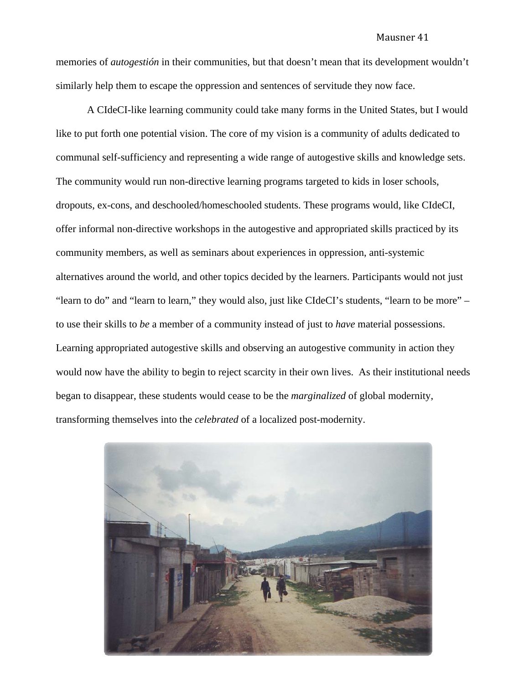memories of *autogestión* in their communities, but that doesn't mean that its development wouldn't similarly help them to escape the oppression and sentences of servitude they now face.

 A CIdeCI-like learning community could take many forms in the United States, but I would like to put forth one potential vision. The core of my vision is a community of adults dedicated to communal self-sufficiency and representing a wide range of autogestive skills and knowledge sets. The community would run non-directive learning programs targeted to kids in loser schools, dropouts, ex-cons, and deschooled/homeschooled students. These programs would, like CIdeCI, offer informal non-directive workshops in the autogestive and appropriated skills practiced by its community members, as well as seminars about experiences in oppression, anti-systemic alternatives around the world, and other topics decided by the learners. Participants would not just "learn to do" and "learn to learn," they would also, just like CIdeCI's students, "learn to be more" – to use their skills to *be* a member of a community instead of just to *have* material possessions. Learning appropriated autogestive skills and observing an autogestive community in action they would now have the ability to begin to reject scarcity in their own lives. As their institutional needs began to disappear, these students would cease to be the *marginalized* of global modernity, transforming themselves into the *celebrated* of a localized post-modernity.

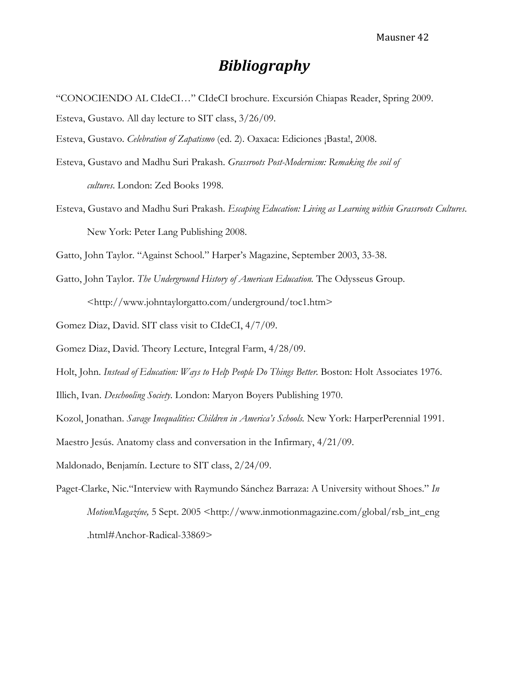# *Bibliography*

"CONOCIENDO AL CIdeCI…" CIdeCI brochure. Excursión Chiapas Reader, Spring 2009.

Esteva, Gustavo. All day lecture to SIT class, 3/26/09.

Esteva, Gustavo. *Celebration of Zapatismo* (ed. 2). Oaxaca: Ediciones ¡Basta!, 2008.

- Esteva, Gustavo and Madhu Suri Prakash. *Grassroots Post-Modernism: Remaking the soil of cultures*. London: Zed Books 1998.
- Esteva, Gustavo and Madhu Suri Prakash. *Escaping Education: Living as Learning within Grassroots Cultures*. New York: Peter Lang Publishing 2008.

Gatto, John Taylor. "Against School." Harper's Magazine, September 2003, 33-38.

Gatto, John Taylor. *The Underground History of American Education.* The Odysseus Group. <http://www.johntaylorgatto.com/underground/toc1.htm>

Gomez Diaz, David. SIT class visit to CIdeCI, 4/7/09.

Gomez Diaz, David. Theory Lecture, Integral Farm, 4/28/09.

Holt, John. *Instead of Education: Ways to Help People Do Things Better*. Boston: Holt Associates 1976.

Illich, Ivan. *Deschooling Society*. London: Maryon Boyers Publishing 1970.

Kozol, Jonathan. *Savage Inequalities: Children in America's Schools.* New York: HarperPerennial 1991.

Maestro Jesús. Anatomy class and conversation in the Infirmary, 4/21/09.

Maldonado, Benjamín. Lecture to SIT class, 2/24/09.

Paget-Clarke, Nic."Interview with Raymundo Sánchez Barraza: A University without Shoes." *In MotionMagazíne*, 5 Sept. 2005 <http://www.inmotionmagazine.com/global/rsb\_int\_eng .html#Anchor-Radical-33869>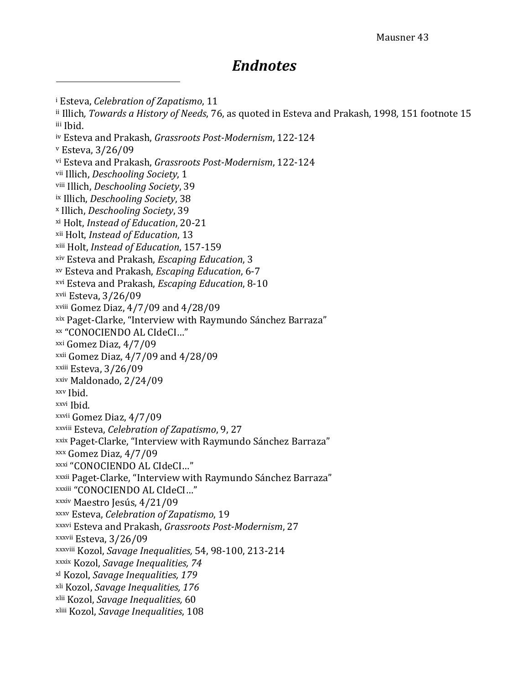# *Endnotes*

<sup>i</sup> Esteva, *Celebration* of *Zapatismo*, 11 ii Illich, *Towards a History of Needs, 76, as quoted in Esteva and Prakash, 1998, 151 footnote 15* i ii Ibid. iv Esteva and Prakash, Grassroots Post-Modernism, 122-124 v Esteva, 3/26/09 vi Esteva and Prakash, *Grassroots Post-Modernism*, 122-124 <sup>vii</sup> Illich, Deschooling Society, 1 viii Illich, Deschooling Society, 39 ix Illich, Deschooling Society, 38 *Deschooling Society*, x I llich, 39 *nstead of Education*, xi H olt, *I* 20‐21 *tion*, 13 xii Holt, *Instead of Educa* xii *a* i Holt, *Instead of Educ tion*, 157‐159 <sup>xiv</sup> Esteva and Prakash, *Escaping Education*, 3 xv Esteva and Prakash, *Escaping Education*, 6-7 *tion*, 8‐10 xvi Esteva and Prakash, *Escaping Educa* xvii Esteva, 3/26/09 <sup>xviii</sup> Gomez Diaz, 4/7/09 and 4/28/09 xix Paget-Clarke, "Interview with Raymundo Sánchez Barraza" xx "CONOCIENDO AL CIdeCI…" xxi Gomez Diaz, 4/7/09  $xxi$  Gomez Diaz,  $4/7/09$  and  $4/28/09$ <sup>xxiii</sup> Esteva, 3/26/09 xxiv Maldonado, 2/24/09 xxv Ibid. xxvi Ibid. xxvii Gomez Diaz, 4/7/09 xxviii Esteva, *Celebration* of Zapatismo, 9, 27 <sup>xxix</sup> Paget-Clarke, "Interview with Raymundo Sánchez Barraza" xxx Gomez Diaz, 4/7/09 xxxi "CONOCIENDO AL CIdeCI…" xxxii Paget-Clarke, "Interview with Raymundo Sánchez Barraza" xxxiii "CONOCIENDO AL CIdeCI..." xxxiv Maestro Jesús, 4/21/09 *Zapatismo*, 19 xxxv E *n of* steva, *Celebratio* sh, *Grassro* 27 xxxvi E nd Praka steva a *ots PostModernism*, <sup>xxxvii</sup> Esteva, 3/26/09 xxxviii Kozol, Savage Inequalities, 54, 98-100, 213-214 <sup>xxxix</sup> Kozol, *Savage Inequalities, 74 avage Inequalities, 1* xl K ozol, *S 79 avage Inequalities,* xli K ozol, *S 176 avage Inequalities,* xlii Kozol, *S* 60 xliii Kozol, *Savage Inequalities*, 108